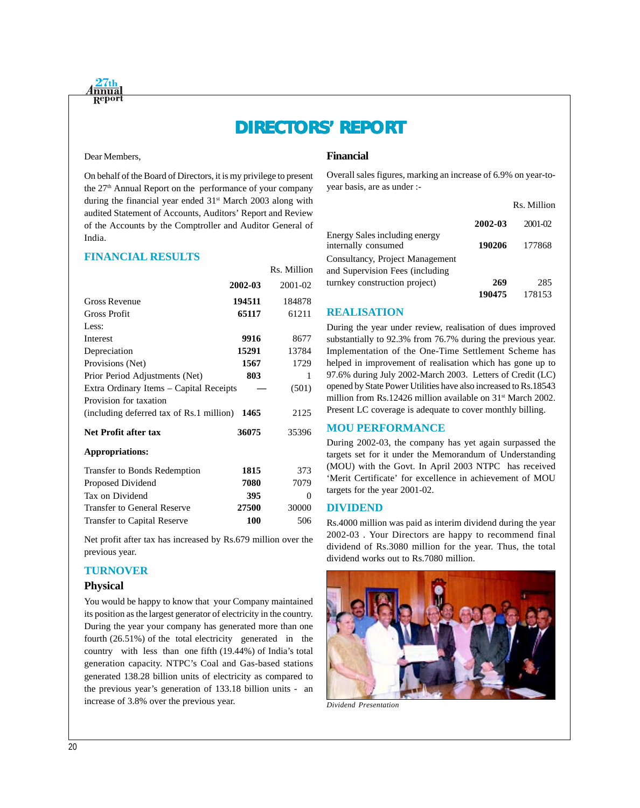# **DIRECTORS' REPORT DIRECTORS' REPORT**

#### Dear Members,

On behalf of the Board of Directors, it is my privilege to present the 27<sup>th</sup> Annual Report on the performance of your company during the financial year ended  $31<sup>st</sup>$  March 2003 along with audited Statement of Accounts, Auditors' Report and Review of the Accounts by the Comptroller and Auditor General of India.

#### **FINANCIAL RESULTS**

|                                          |         | Rs. Million |
|------------------------------------------|---------|-------------|
|                                          | 2002-03 | 2001-02     |
| Gross Revenue                            | 194511  | 184878      |
| Gross Profit                             | 65117   | 61211       |
| Less:                                    |         |             |
| Interest                                 | 9916    | 8677        |
| Depreciation                             | 15291   | 13784       |
| Provisions (Net)                         | 1567    | 1729        |
| Prior Period Adjustments (Net)           | 803     | 1           |
| Extra Ordinary Items - Capital Receipts  |         | (501)       |
| Provision for taxation                   |         |             |
| (including deferred tax of Rs.1 million) | 1465    | 2125        |
| <b>Net Profit after tax</b>              | 36075   | 35396       |
| <b>Appropriations:</b>                   |         |             |
| <b>Transfer to Bonds Redemption</b>      | 1815    | 373         |
| Proposed Dividend                        | 7080    | 7079        |
| Tax on Dividend                          | 395     | 0           |
| <b>Transfer to General Reserve</b>       | 27500   | 30000       |
| <b>Transfer to Capital Reserve</b>       | 100     | 506         |

Net profit after tax has increased by Rs.679 million over the previous year.

#### **TURNOVER**

#### **Physical**

You would be happy to know that your Company maintained its position as the largest generator of electricity in the country. During the year your company has generated more than one fourth (26.51%) of the total electricity generated in the country with less than one fifth (19.44%) of India's total generation capacity. NTPC's Coal and Gas-based stations generated 138.28 billion units of electricity as compared to the previous year's generation of 133.18 billion units - an increase of 3.8% over the previous year.

## **Financial**

Overall sales figures, marking an increase of 6.9% on year-toyear basis, are as under :-

|                                                                    |         | Rs. Million |
|--------------------------------------------------------------------|---------|-------------|
|                                                                    | 2002-03 | $2001 - 02$ |
| Energy Sales including energy<br>internally consumed               | 190206  | 177868      |
| Consultancy, Project Management<br>and Supervision Fees (including |         |             |
| turnkey construction project)                                      | 269     | 285         |
|                                                                    | 190475  | 178153      |

## **REALISATION**

During the year under review, realisation of dues improved substantially to 92.3% from 76.7% during the previous year. Implementation of the One-Time Settlement Scheme has helped in improvement of realisation which has gone up to 97.6% during July 2002-March 2003. Letters of Credit (LC) opened by State Power Utilities have also increased to Rs.18543 million from Rs.12426 million available on 31<sup>st</sup> March 2002. Present LC coverage is adequate to cover monthly billing.

## **MOU PERFORMANCE**

During 2002-03, the company has yet again surpassed the targets set for it under the Memorandum of Understanding (MOU) with the Govt. In April 2003 NTPC has received 'Merit Certificate' for excellence in achievement of MOU targets for the year 2001-02.

#### **DIVIDEND**

Rs.4000 million was paid as interim dividend during the year 2002-03 . Your Directors are happy to recommend final dividend of Rs.3080 million for the year. Thus, the total dividend works out to Rs.7080 million.



*Dividend Presentation*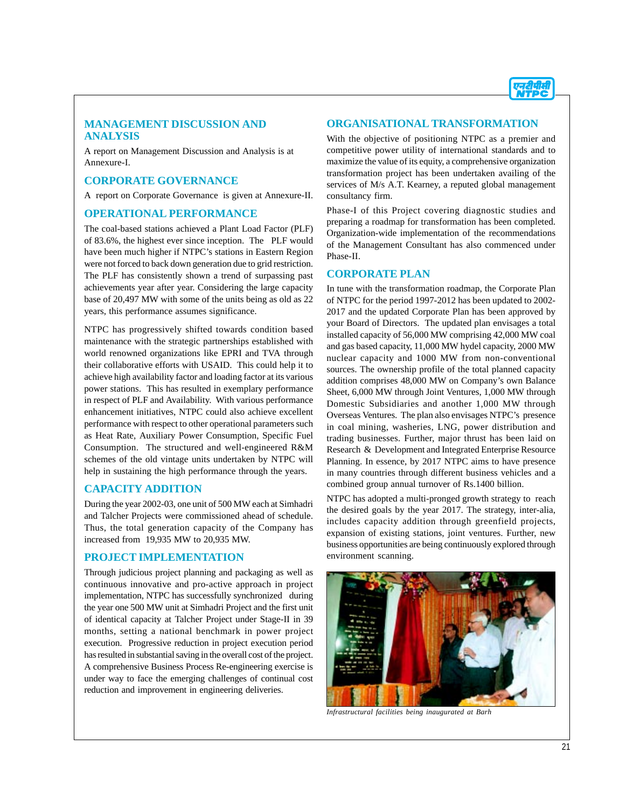

#### **MANAGEMENT DISCUSSION AND ANALYSIS**

A report on Management Discussion and Analysis is at Annexure-I.

#### **CORPORATE GOVERNANCE**

A report on Corporate Governance is given at Annexure-II.

#### **OPERATIONAL PERFORMANCE**

The coal-based stations achieved a Plant Load Factor (PLF) of 83.6%, the highest ever since inception. The PLF would have been much higher if NTPC's stations in Eastern Region were not forced to back down generation due to grid restriction. The PLF has consistently shown a trend of surpassing past achievements year after year. Considering the large capacity base of 20,497 MW with some of the units being as old as 22 years, this performance assumes significance.

NTPC has progressively shifted towards condition based maintenance with the strategic partnerships established with world renowned organizations like EPRI and TVA through their collaborative efforts with USAID. This could help it to achieve high availability factor and loading factor at its various power stations. This has resulted in exemplary performance in respect of PLF and Availability. With various performance enhancement initiatives, NTPC could also achieve excellent performance with respect to other operational parameters such as Heat Rate, Auxiliary Power Consumption, Specific Fuel Consumption. The structured and well-engineered R&M schemes of the old vintage units undertaken by NTPC will help in sustaining the high performance through the years.

#### **CAPACITY ADDITION**

During the year 2002-03, one unit of 500 MW each at Simhadri and Talcher Projects were commissioned ahead of schedule. Thus, the total generation capacity of the Company has increased from 19,935 MW to 20,935 MW.

#### **PROJECT IMPLEMENTATION**

Through judicious project planning and packaging as well as continuous innovative and pro-active approach in project implementation, NTPC has successfully synchronized during the year one 500 MW unit at Simhadri Project and the first unit of identical capacity at Talcher Project under Stage-II in 39 months, setting a national benchmark in power project execution. Progressive reduction in project execution period has resulted in substantial saving in the overall cost of the project. A comprehensive Business Process Re-engineering exercise is under way to face the emerging challenges of continual cost reduction and improvement in engineering deliveries.

#### **ORGANISATIONAL TRANSFORMATION**

With the objective of positioning NTPC as a premier and competitive power utility of international standards and to maximize the value of its equity, a comprehensive organization transformation project has been undertaken availing of the services of M/s A.T. Kearney, a reputed global management consultancy firm.

Phase-I of this Project covering diagnostic studies and preparing a roadmap for transformation has been completed. Organization-wide implementation of the recommendations of the Management Consultant has also commenced under Phase-II.

#### **CORPORATE PLAN**

In tune with the transformation roadmap, the Corporate Plan of NTPC for the period 1997-2012 has been updated to 2002- 2017 and the updated Corporate Plan has been approved by your Board of Directors. The updated plan envisages a total installed capacity of 56,000 MW comprising 42,000 MW coal and gas based capacity, 11,000 MW hydel capacity, 2000 MW nuclear capacity and 1000 MW from non-conventional sources. The ownership profile of the total planned capacity addition comprises 48,000 MW on Company's own Balance Sheet, 6,000 MW through Joint Ventures, 1,000 MW through Domestic Subsidiaries and another 1,000 MW through Overseas Ventures. The plan also envisages NTPC's presence in coal mining, washeries, LNG, power distribution and trading businesses. Further, major thrust has been laid on Research & Development and Integrated Enterprise Resource Planning. In essence, by 2017 NTPC aims to have presence in many countries through different business vehicles and a combined group annual turnover of Rs.1400 billion.

NTPC has adopted a multi-pronged growth strategy to reach the desired goals by the year 2017. The strategy, inter-alia, includes capacity addition through greenfield projects, expansion of existing stations, joint ventures. Further, new business opportunities are being continuously explored through environment scanning.



*Infrastructural facilities being inaugurated at Barh*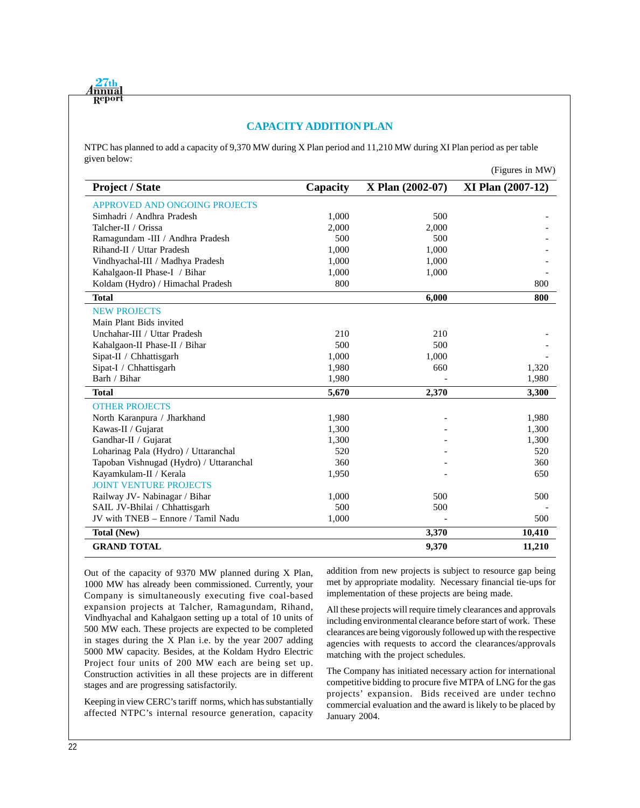

## **CAPACITY ADDITION PLAN**

NTPC has planned to add a capacity of 9,370 MW during X Plan period and 11,210 MW during XI Plan period as per table given below:

|                                         |          |                  | $(1.1)$ guits in <i>i</i> vi <i>iv</i> |
|-----------------------------------------|----------|------------------|----------------------------------------|
| <b>Project / State</b>                  | Capacity | X Plan (2002-07) | <b>XI Plan (2007-12)</b>               |
| APPROVED AND ONGOING PROJECTS           |          |                  |                                        |
| Simhadri / Andhra Pradesh               | 1,000    | 500              |                                        |
| Talcher-II / Orissa                     | 2,000    | 2,000            |                                        |
| Ramagundam -III / Andhra Pradesh        | 500      | 500              |                                        |
| Rihand-II / Uttar Pradesh               | 1,000    | 1,000            |                                        |
| Vindhyachal-III / Madhya Pradesh        | 1,000    | 1,000            |                                        |
| Kahalgaon-II Phase-I / Bihar            | 1,000    | 1,000            |                                        |
| Koldam (Hydro) / Himachal Pradesh       | 800      |                  | 800                                    |
| <b>Total</b>                            |          | 6,000            | 800                                    |
| <b>NEW PROJECTS</b>                     |          |                  |                                        |
| Main Plant Bids invited                 |          |                  |                                        |
| Unchahar-III / Uttar Pradesh            | 210      | 210              |                                        |
| Kahalgaon-II Phase-II / Bihar           | 500      | 500              |                                        |
| Sipat-II / Chhattisgarh                 | 1,000    | 1,000            |                                        |
| Sipat-I / Chhattisgarh                  | 1,980    | 660              | 1,320                                  |
| Barh / Bihar                            | 1,980    |                  | 1,980                                  |
| <b>Total</b>                            | 5,670    | 2,370            | 3,300                                  |
| <b>OTHER PROJECTS</b>                   |          |                  |                                        |
| North Karanpura / Jharkhand             | 1,980    |                  | 1,980                                  |
| Kawas-II / Gujarat                      | 1,300    |                  | 1,300                                  |
| Gandhar-II / Gujarat                    | 1,300    |                  | 1,300                                  |
| Loharinag Pala (Hydro) / Uttaranchal    | 520      |                  | 520                                    |
| Tapoban Vishnugad (Hydro) / Uttaranchal | 360      |                  | 360                                    |
| Kayamkulam-II / Kerala                  | 1,950    |                  | 650                                    |
| <b>JOINT VENTURE PROJECTS</b>           |          |                  |                                        |
| Railway JV- Nabinagar / Bihar           | 1,000    | 500              | 500                                    |
| SAIL JV-Bhilai / Chhattisgarh           | 500      | 500              |                                        |
| JV with TNEB - Ennore / Tamil Nadu      | 1,000    |                  | 500                                    |
| <b>Total (New)</b>                      |          | 3,370            | 10,410                                 |
| <b>GRAND TOTAL</b>                      |          | 9,370            | 11,210                                 |

Out of the capacity of 9370 MW planned during X Plan, 1000 MW has already been commissioned. Currently, your Company is simultaneously executing five coal-based expansion projects at Talcher, Ramagundam, Rihand, Vindhyachal and Kahalgaon setting up a total of 10 units of 500 MW each. These projects are expected to be completed in stages during the X Plan i.e. by the year 2007 adding 5000 MW capacity. Besides, at the Koldam Hydro Electric Project four units of 200 MW each are being set up. Construction activities in all these projects are in different stages and are progressing satisfactorily.

Keeping in view CERC's tariff norms, which has substantially affected NTPC's internal resource generation, capacity addition from new projects is subject to resource gap being met by appropriate modality. Necessary financial tie-ups for implementation of these projects are being made.

 $(Fi$ gures in  $M W$ )

All these projects will require timely clearances and approvals including environmental clearance before start of work. These clearances are being vigorously followed up with the respective agencies with requests to accord the clearances/approvals matching with the project schedules.

The Company has initiated necessary action for international competitive bidding to procure five MTPA of LNG for the gas projects' expansion. Bids received are under techno commercial evaluation and the award is likely to be placed by January 2004.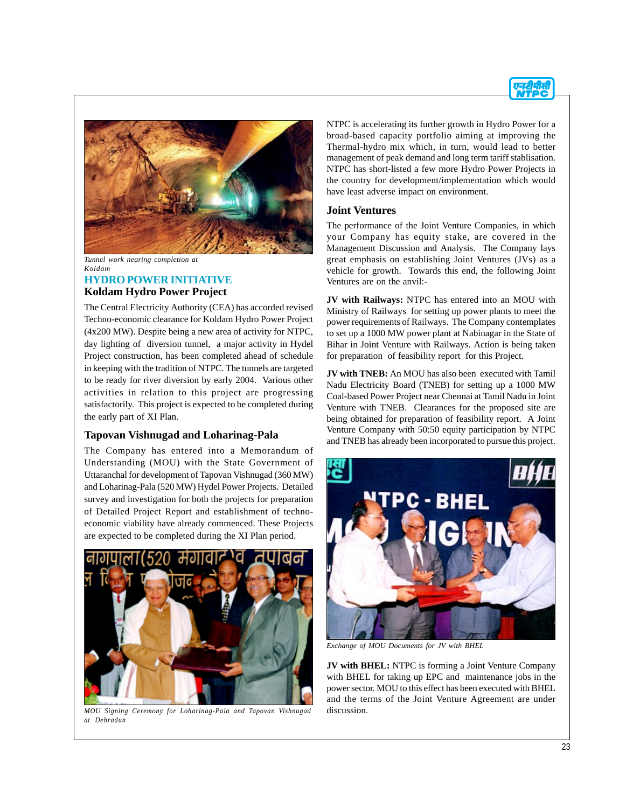



*Tunnel work nearing completion at Koldam*

## **HYDRO POWER INITIATIVE Koldam Hydro Power Project**

The Central Electricity Authority (CEA) has accorded revised Techno-economic clearance for Koldam Hydro Power Project (4x200 MW). Despite being a new area of activity for NTPC, day lighting of diversion tunnel, a major activity in Hydel Project construction, has been completed ahead of schedule in keeping with the tradition of NTPC. The tunnels are targeted to be ready for river diversion by early 2004. Various other activities in relation to this project are progressing satisfactorily. This project is expected to be completed during the early part of XI Plan.

## **Tapovan Vishnugad and Loharinag-Pala**

The Company has entered into a Memorandum of Understanding (MOU) with the State Government of Uttaranchal for development of Tapovan Vishnugad (360 MW) and Loharinag-Pala (520 MW) Hydel Power Projects. Detailed survey and investigation for both the projects for preparation of Detailed Project Report and establishment of technoeconomic viability have already commenced. These Projects are expected to be completed during the XI Plan period.



*MOU Signing Ceremony for Loharinag-Pala and Tapovan Vishnugad at Dehradun*

NTPC is accelerating its further growth in Hydro Power for a broad-based capacity portfolio aiming at improving the Thermal-hydro mix which, in turn, would lead to better management of peak demand and long term tariff stablisation. NTPC has short-listed a few more Hydro Power Projects in the country for development/implementation which would have least adverse impact on environment.

## **Joint Ventures**

The performance of the Joint Venture Companies, in which your Company has equity stake, are covered in the Management Discussion and Analysis. The Company lays great emphasis on establishing Joint Ventures (JVs) as a vehicle for growth. Towards this end, the following Joint Ventures are on the anvil:-

**JV with Railways:** NTPC has entered into an MOU with Ministry of Railways for setting up power plants to meet the power requirements of Railways. The Company contemplates to set up a 1000 MW power plant at Nabinagar in the State of Bihar in Joint Venture with Railways. Action is being taken for preparation of feasibility report for this Project.

**JV with TNEB:** An MOU has also been executed with Tamil Nadu Electricity Board (TNEB) for setting up a 1000 MW Coal-based Power Project near Chennai at Tamil Nadu in Joint Venture with TNEB. Clearances for the proposed site are being obtained for preparation of feasibility report. A Joint Venture Company with 50:50 equity participation by NTPC and TNEB has already been incorporated to pursue this project.



*Exchange of MOU Documents for JV with BHEL*

**JV with BHEL:** NTPC is forming a Joint Venture Company with BHEL for taking up EPC and maintenance jobs in the power sector. MOU to this effect has been executed with BHEL and the terms of the Joint Venture Agreement are under discussion.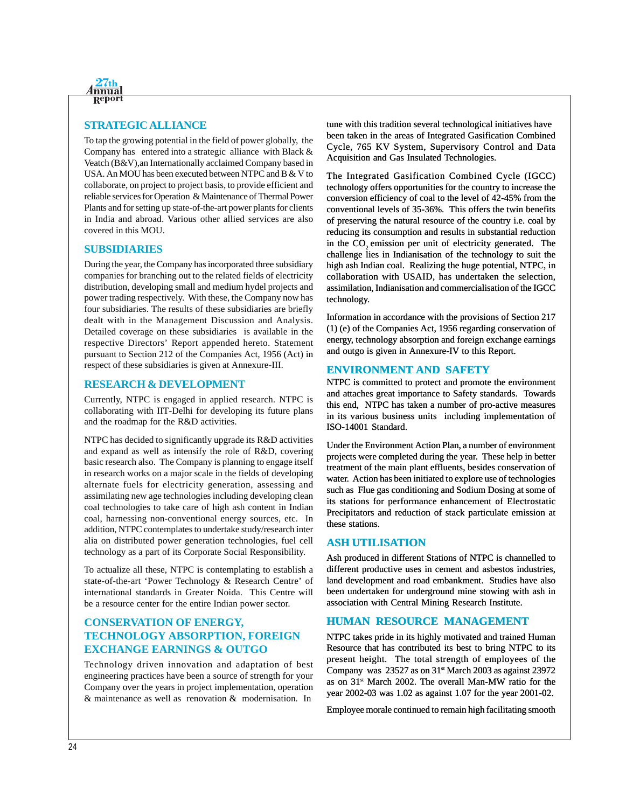

## **STRATEGIC ALLIANCE**

To tap the growing potential in the field of power globally, the Company has entered into a strategic alliance with Black & Veatch (B&V),an Internationally acclaimed Company based in USA. An MOU has been executed between NTPC and B & V to collaborate, on project to project basis, to provide efficient and reliable services for Operation & Maintenance of Thermal Power Plants and for setting up state-of-the-art power plants for clients in India and abroad. Various other allied services are also covered in this MOU.

#### **SUBSIDIARIES**

During the year, the Company has incorporated three subsidiary companies for branching out to the related fields of electricity distribution, developing small and medium hydel projects and power trading respectively. With these, the Company now has four subsidiaries. The results of these subsidiaries are briefly dealt with in the Management Discussion and Analysis. Detailed coverage on these subsidiaries is available in the respective Directors' Report appended hereto. Statement pursuant to Section 212 of the Companies Act, 1956 (Act) in respect of these subsidiaries is given at Annexure-III.

#### **RESEARCH & DEVELOPMENT**

Currently, NTPC is engaged in applied research. NTPC is collaborating with IIT-Delhi for developing its future plans and the roadmap for the R&D activities.

NTPC has decided to significantly upgrade its R&D activities and expand as well as intensify the role of R&D, covering basic research also. The Company is planning to engage itself in research works on a major scale in the fields of developing alternate fuels for electricity generation, assessing and assimilating new age technologies including developing clean coal technologies to take care of high ash content in Indian coal, harnessing non-conventional energy sources, etc. In addition, NTPC contemplates to undertake study/research inter alia on distributed power generation technologies, fuel cell technology as a part of its Corporate Social Responsibility.

To actualize all these, NTPC is contemplating to establish a state-of-the-art 'Power Technology & Research Centre' of international standards in Greater Noida. This Centre will be a resource center for the entire Indian power sector.

## **CONSERVATION OF ENERGY, TECHNOLOGY ABSORPTION, FOREIGN EXCHANGE EARNINGS & OUTGO**

Technology driven innovation and adaptation of best engineering practices have been a source of strength for your Company over the years in project implementation, operation & maintenance as well as renovation & modernisation. In

tune with this tradition several technological initiatives have been taken in the areas of Integrated Gasification Combined Cycle, 765 KV System, Supervisory Control and Data Acquisition and Gas Insulated Technologies.

The Integrated Gasification Combined Cycle (IGCC) technology offers opportunities for the country to increase the conversion efficiency of coal to the level of 42-45% from the conventional levels of 35-36%. This offers the twin benefits of preserving the natural resource of the country i.e. coal by reducing its consumption and results in substantial reduction in the CO<sub>2</sub> emission per unit of electricity generated. The challenge lies in Indianisation of the technology to suit the high ash Indian coal. Realizing the huge potential, NTPC, in collaboration with USAID, has undertaken the selection, assimilation, Indianisation and commercialisation of the IGCC technology.

Information in accordance with the provisions of Section 217 (1) (e) of the Companies Act, 1956 regarding conservation of energy, technology absorption and foreign exchange earnings and outgo is given in Annexure-IV to this Report.

#### **ENVIRONMENT AND SAFETY**

NTPC is committed to protect and promote the environment and attaches great importance to Safety standards. Towards this end, NTPC has taken a number of pro-active measures in its various business units including implementation of ISO-14001 Standard.

Under the Environment Action Plan, a number of environment projects were completed during the year. These help in better treatment of the main plant effluents, besides conservation of water. Action has been initiated to explore use of technologies such as Flue gas conditioning and Sodium Dosing at some of its stations for performance enhancement of Electrostatic Precipitators and reduction of stack particulate emission at these stations.

#### **ASH UTILISATION**

Ash produced in different Stations of NTPC is channelled to different productive uses in cement and asbestos industries, land development and road embankment. Studies have also been undertaken for underground mine stowing with ash in association with Central Mining Research Institute.

## **HUMAN RESOURCE MANAGEMENT**

NTPC takes pride in its highly motivated and trained Human Resource that has contributed its best to bring NTPC to its present height. The total strength of employees of the Company was  $23527$  as on  $31<sup>st</sup>$  March 2003 as against 23972 as on 31st March 2002. The overall Man-MW ratio for the year 2002-03 was 1.02 as against 1.07 for the year 2001-02.

Employee morale continued to remain high facilitating smooth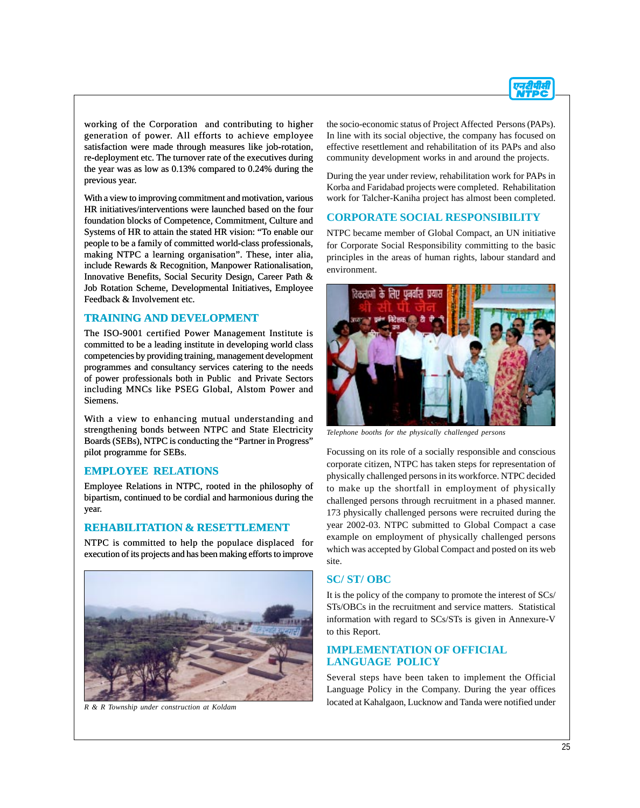

working of the Corporation and contributing to higher generation of power. All efforts to achieve employee satisfaction were made through measures like job-rotation, re-deployment etc. The turnover rate of the executives during the year was as low as 0.13% compared to 0.24% during the previous year.

With a view to improving commitment and motivation, various HR initiatives/interventions were launched based on the four foundation blocks of Competence, Commitment, Culture and Systems of HR to attain the stated HR vision: "To enable our people to be a family of committed world-class professionals, making NTPC a learning organisation". These, inter alia, include Rewards & Recognition, Manpower Rationalisation, Innovative Benefits, Social Security Design, Career Path & Job Rotation Scheme, Developmental Initiatives, Employee Feedback & Involvement etc.

#### **TRAINING AND DEVELOPMENT**

The ISO-9001 certified Power Management Institute is committed to be a leading institute in developing world class competencies by providing training, management development programmes and consultancy services catering to the needs of power professionals both in Public and Private Sectors including MNCs like PSEG Global, Alstom Power and Siemens.

With a view to enhancing mutual understanding and strengthening bonds between NTPC and State Electricity Boards (SEBs), NTPC is conducting the "Partner in Progress" pilot programme for SEBs.

#### **EMPLOYEE RELATIONS**

Employee Relations in NTPC, rooted in the philosophy of bipartism, continued to be cordial and harmonious during the year.

#### **REHABILITATION & RESETTLEMENT**

NTPC is committed to help the populace displaced for execution of its projects and has been making efforts to improve



the socio-economic status of Project Affected Persons (PAPs). In line with its social objective, the company has focused on effective resettlement and rehabilitation of its PAPs and also community development works in and around the projects.

During the year under review, rehabilitation work for PAPs in Korba and Faridabad projects were completed. Rehabilitation work for Talcher-Kaniha project has almost been completed.

#### **CORPORATE SOCIAL RESPONSIBILITY**

NTPC became member of Global Compact, an UN initiative for Corporate Social Responsibility committing to the basic principles in the areas of human rights, labour standard and environment.



*Telephone booths for the physically challenged persons*

Focussing on its role of a socially responsible and conscious corporate citizen, NTPC has taken steps for representation of physically challenged persons in its workforce. NTPC decided to make up the shortfall in employment of physically challenged persons through recruitment in a phased manner. 173 physically challenged persons were recruited during the year 2002-03. NTPC submitted to Global Compact a case example on employment of physically challenged persons which was accepted by Global Compact and posted on its web site.

## **SC/ ST/ OBC**

It is the policy of the company to promote the interest of SCs/ STs/OBCs in the recruitment and service matters. Statistical information with regard to SCs/STs is given in Annexure-V to this Report.

## **IMPLEMENTATION OF OFFICIAL LANGUAGE POLICY**

Several steps have been taken to implement the Official Language Policy in the Company. During the year offices located at Kahalgaon, Lucknow and Tanda were notified under *R & R Township under construction at Koldam*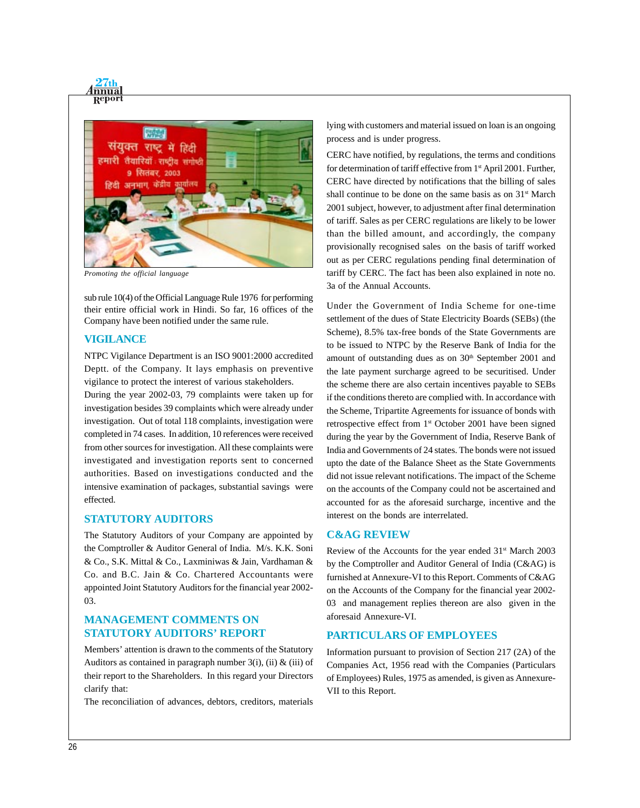

*Promoting the official language*

sub rule 10(4) of the Official Language Rule 1976 for performing their entire official work in Hindi. So far, 16 offices of the Company have been notified under the same rule.

#### **VIGILANCE**

NTPC Vigilance Department is an ISO 9001:2000 accredited Deptt. of the Company. It lays emphasis on preventive vigilance to protect the interest of various stakeholders.

During the year 2002-03, 79 complaints were taken up for investigation besides 39 complaints which were already under investigation. Out of total 118 complaints, investigation were completed in 74 cases. In addition, 10 references were received from other sources for investigation. All these complaints were investigated and investigation reports sent to concerned authorities. Based on investigations conducted and the intensive examination of packages, substantial savings were effected.

#### **STATUTORY AUDITORS**

The Statutory Auditors of your Company are appointed by the Comptroller & Auditor General of India. M/s. K.K. Soni & Co., S.K. Mittal & Co., Laxminiwas & Jain, Vardhaman & Co. and B.C. Jain & Co. Chartered Accountants were appointed Joint Statutory Auditors for the financial year 2002- 03.

## **MANAGEMENT COMMENTS ON STATUTORY AUDITORS' REPORT**

Members' attention is drawn to the comments of the Statutory Auditors as contained in paragraph number 3(i), (ii)  $\&$  (iii) of their report to the Shareholders. In this regard your Directors clarify that:

The reconciliation of advances, debtors, creditors, materials

lying with customers and material issued on loan is an ongoing process and is under progress.

CERC have notified, by regulations, the terms and conditions for determination of tariff effective from 1<sup>st</sup> April 2001. Further, CERC have directed by notifications that the billing of sales shall continue to be done on the same basis as on 31<sup>st</sup> March 2001 subject, however, to adjustment after final determination of tariff. Sales as per CERC regulations are likely to be lower than the billed amount, and accordingly, the company provisionally recognised sales on the basis of tariff worked out as per CERC regulations pending final determination of tariff by CERC. The fact has been also explained in note no. 3a of the Annual Accounts.

Under the Government of India Scheme for one-time settlement of the dues of State Electricity Boards (SEBs) (the Scheme), 8.5% tax-free bonds of the State Governments are to be issued to NTPC by the Reserve Bank of India for the amount of outstanding dues as on  $30<sup>th</sup>$  September 2001 and the late payment surcharge agreed to be securitised. Under the scheme there are also certain incentives payable to SEBs if the conditions thereto are complied with. In accordance with the Scheme, Tripartite Agreements for issuance of bonds with retrospective effect from 1<sup>st</sup> October 2001 have been signed during the year by the Government of India, Reserve Bank of India and Governments of 24 states. The bonds were not issued upto the date of the Balance Sheet as the State Governments did not issue relevant notifications. The impact of the Scheme on the accounts of the Company could not be ascertained and accounted for as the aforesaid surcharge, incentive and the interest on the bonds are interrelated.

#### **C&AG REVIEW**

Review of the Accounts for the year ended 31<sup>st</sup> March 2003 by the Comptroller and Auditor General of India (C&AG) is furnished at Annexure-VI to this Report. Comments of C&AG on the Accounts of the Company for the financial year 2002- 03 and management replies thereon are also given in the aforesaid Annexure-VI.

### **PARTICULARS OF EMPLOYEES**

Information pursuant to provision of Section 217 (2A) of the Companies Act, 1956 read with the Companies (Particulars of Employees) Rules, 1975 as amended, is given as Annexure-VII to this Report.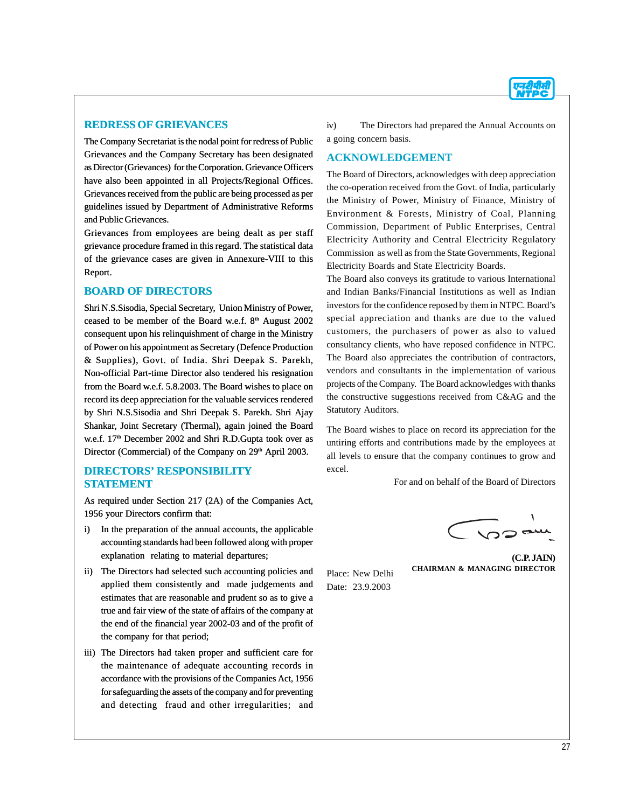

#### **REDRESS OF GRIEVANCES**

The Company Secretariat is the nodal point for redress of Public Grievances and the Company Secretary has been designated as Director (Grievances) for the Corporation. Grievance Officers have also been appointed in all Projects/Regional Offices. Grievances received from the public are being processed as per guidelines issued by Department of Administrative Reforms and Public Grievances.

Grievances from employees are being dealt as per staff grievance procedure framed in this regard. The statistical data of the grievance cases are given in Annexure-VIII to this Report.

#### **BOARD OF DIRECTORS**

Shri N.S.Sisodia, Special Secretary, Union Ministry of Power, ceased to be member of the Board w.e.f. 8<sup>th</sup> August 2002 consequent upon his relinquishment of charge in the Ministry of Power on his appointment as Secretary (Defence Production & Supplies), Govt. of India. Shri Deepak S. Parekh, Non-official Part-time Director also tendered his resignation from the Board w.e.f. 5.8.2003. The Board wishes to place on record its deep appreciation for the valuable services rendered by Shri N.S.Sisodia and Shri Deepak S. Parekh. Shri Ajay Shankar, Joint Secretary (Thermal), again joined the Board w.e.f. 17<sup>th</sup> December 2002 and Shri R.D.Gupta took over as Director (Commercial) of the Company on 29<sup>th</sup> April 2003.

## **DIRECTORS' RESPONSIBILITY STATEMENT**

As required under Section 217 (2A) of the Companies Act, 1956 your Directors confirm that:

- i) In the preparation of the annual accounts, the applicable accounting standards had been followed along with proper explanation relating to material departures;
- ii) The Directors had selected such accounting policies and applied them consistently and made judgements and estimates that are reasonable and prudent so as to give a true and fair view of the state of affairs of the company at the end of the financial year 2002-03 and of the profit of the company for that period;
- iii) The Directors had taken proper and sufficient care for the maintenance of adequate accounting records in accordance with the provisions of the Companies Act, 1956 for safeguarding the assets of the company and for preventing and detecting fraud and other irregularities; and

iv) The Directors had prepared the Annual Accounts on a going concern basis.

## **ACKNOWLEDGEMENT**

The Board of Directors, acknowledges with deep appreciation the co-operation received from the Govt. of India, particularly the Ministry of Power, Ministry of Finance, Ministry of Environment & Forests, Ministry of Coal, Planning Commission, Department of Public Enterprises, Central Electricity Authority and Central Electricity Regulatory Commission as well as from the State Governments, Regional Electricity Boards and State Electricity Boards.

The Board also conveys its gratitude to various International and Indian Banks/Financial Institutions as well as Indian investors for the confidence reposed by them in NTPC. Board's special appreciation and thanks are due to the valued customers, the purchasers of power as also to valued consultancy clients, who have reposed confidence in NTPC. The Board also appreciates the contribution of contractors, vendors and consultants in the implementation of various projects of the Company. The Board acknowledges with thanks the constructive suggestions received from C&AG and the Statutory Auditors.

The Board wishes to place on record its appreciation for the untiring efforts and contributions made by the employees at all levels to ensure that the company continues to grow and excel.

For and on behalf of the Board of Directors

 $\sim$ 

Place: New Delhi Date: 23.9.2003

**(C.P. JAIN) CHAIRMAN & MANAGING DIRECTOR**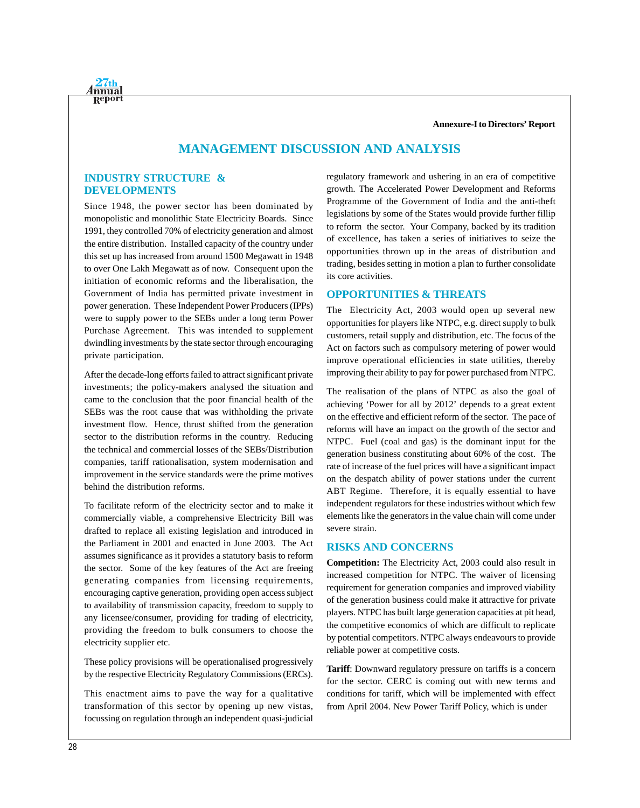**Annexure-I to Directors' Report**

# **MANAGEMENT DISCUSSION AND ANALYSIS**

## **INDUSTRY STRUCTURE & DEVELOPMENTS**

<u>nnua</u>

Since 1948, the power sector has been dominated by monopolistic and monolithic State Electricity Boards. Since 1991, they controlled 70% of electricity generation and almost the entire distribution. Installed capacity of the country under this set up has increased from around 1500 Megawatt in 1948 to over One Lakh Megawatt as of now. Consequent upon the initiation of economic reforms and the liberalisation, the Government of India has permitted private investment in power generation. These Independent Power Producers (IPPs) were to supply power to the SEBs under a long term Power Purchase Agreement. This was intended to supplement dwindling investments by the state sector through encouraging private participation.

After the decade-long efforts failed to attract significant private investments; the policy-makers analysed the situation and came to the conclusion that the poor financial health of the SEBs was the root cause that was withholding the private investment flow. Hence, thrust shifted from the generation sector to the distribution reforms in the country. Reducing the technical and commercial losses of the SEBs/Distribution companies, tariff rationalisation, system modernisation and improvement in the service standards were the prime motives behind the distribution reforms.

To facilitate reform of the electricity sector and to make it commercially viable, a comprehensive Electricity Bill was drafted to replace all existing legislation and introduced in the Parliament in 2001 and enacted in June 2003. The Act assumes significance as it provides a statutory basis to reform the sector. Some of the key features of the Act are freeing generating companies from licensing requirements, encouraging captive generation, providing open access subject to availability of transmission capacity, freedom to supply to any licensee/consumer, providing for trading of electricity, providing the freedom to bulk consumers to choose the electricity supplier etc.

These policy provisions will be operationalised progressively by the respective Electricity Regulatory Commissions (ERCs).

This enactment aims to pave the way for a qualitative transformation of this sector by opening up new vistas, focussing on regulation through an independent quasi-judicial regulatory framework and ushering in an era of competitive growth. The Accelerated Power Development and Reforms Programme of the Government of India and the anti-theft legislations by some of the States would provide further fillip to reform the sector. Your Company, backed by its tradition of excellence, has taken a series of initiatives to seize the opportunities thrown up in the areas of distribution and trading, besides setting in motion a plan to further consolidate its core activities.

## **OPPORTUNITIES & THREATS**

The Electricity Act, 2003 would open up several new opportunities for players like NTPC, e.g. direct supply to bulk customers, retail supply and distribution, etc. The focus of the Act on factors such as compulsory metering of power would improve operational efficiencies in state utilities, thereby improving their ability to pay for power purchased from NTPC.

The realisation of the plans of NTPC as also the goal of achieving 'Power for all by 2012' depends to a great extent on the effective and efficient reform of the sector. The pace of reforms will have an impact on the growth of the sector and NTPC. Fuel (coal and gas) is the dominant input for the generation business constituting about 60% of the cost. The rate of increase of the fuel prices will have a significant impact on the despatch ability of power stations under the current ABT Regime. Therefore, it is equally essential to have independent regulators for these industries without which few elements like the generators in the value chain will come under severe strain.

## **RISKS AND CONCERNS**

**Competition:** The Electricity Act, 2003 could also result in increased competition for NTPC. The waiver of licensing requirement for generation companies and improved viability of the generation business could make it attractive for private players. NTPC has built large generation capacities at pit head, the competitive economics of which are difficult to replicate by potential competitors. NTPC always endeavours to provide reliable power at competitive costs.

**Tariff**: Downward regulatory pressure on tariffs is a concern for the sector. CERC is coming out with new terms and conditions for tariff, which will be implemented with effect from April 2004. New Power Tariff Policy, which is under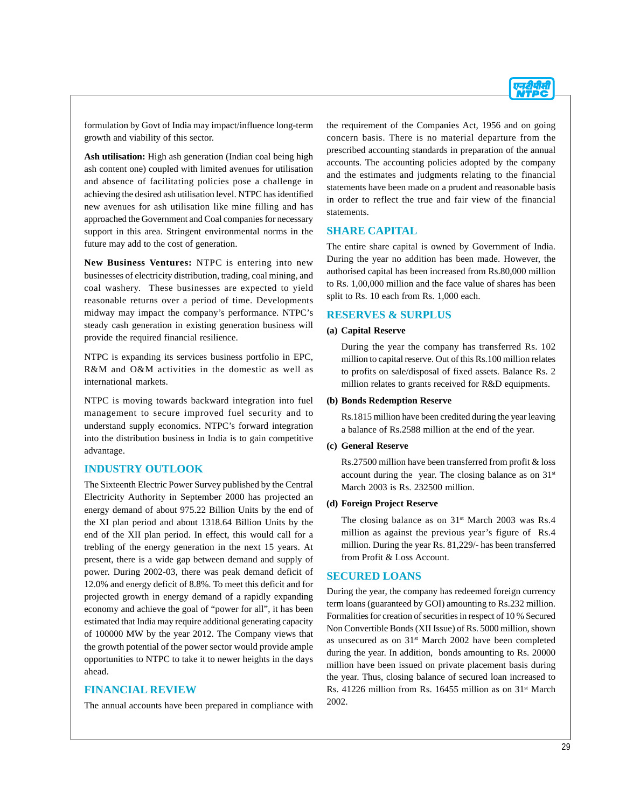

formulation by Govt of India may impact/influence long-term growth and viability of this sector.

**Ash utilisation:** High ash generation (Indian coal being high ash content one) coupled with limited avenues for utilisation and absence of facilitating policies pose a challenge in achieving the desired ash utilisation level. NTPC has identified new avenues for ash utilisation like mine filling and has approached the Government and Coal companies for necessary support in this area. Stringent environmental norms in the future may add to the cost of generation.

**New Business Ventures:** NTPC is entering into new businesses of electricity distribution, trading, coal mining, and coal washery. These businesses are expected to yield reasonable returns over a period of time. Developments midway may impact the company's performance. NTPC's steady cash generation in existing generation business will provide the required financial resilience.

NTPC is expanding its services business portfolio in EPC, R&M and O&M activities in the domestic as well as international markets.

NTPC is moving towards backward integration into fuel management to secure improved fuel security and to understand supply economics. NTPC's forward integration into the distribution business in India is to gain competitive advantage.

## **INDUSTRY OUTLOOK**

The Sixteenth Electric Power Survey published by the Central Electricity Authority in September 2000 has projected an energy demand of about 975.22 Billion Units by the end of the XI plan period and about 1318.64 Billion Units by the end of the XII plan period. In effect, this would call for a trebling of the energy generation in the next 15 years. At present, there is a wide gap between demand and supply of power. During 2002-03, there was peak demand deficit of 12.0% and energy deficit of 8.8%. To meet this deficit and for projected growth in energy demand of a rapidly expanding economy and achieve the goal of "power for all", it has been estimated that India may require additional generating capacity of 100000 MW by the year 2012. The Company views that the growth potential of the power sector would provide ample opportunities to NTPC to take it to newer heights in the days ahead.

## **FINANCIAL REVIEW**

The annual accounts have been prepared in compliance with

the requirement of the Companies Act, 1956 and on going concern basis. There is no material departure from the prescribed accounting standards in preparation of the annual accounts. The accounting policies adopted by the company and the estimates and judgments relating to the financial statements have been made on a prudent and reasonable basis in order to reflect the true and fair view of the financial statements.

#### **SHARE CAPITAL**

The entire share capital is owned by Government of India. During the year no addition has been made. However, the authorised capital has been increased from Rs.80,000 million to Rs. 1,00,000 million and the face value of shares has been split to Rs. 10 each from Rs. 1,000 each.

#### **RESERVES & SURPLUS**

#### **(a) Capital Reserve**

During the year the company has transferred Rs. 102 million to capital reserve. Out of this Rs.100 million relates to profits on sale/disposal of fixed assets. Balance Rs. 2 million relates to grants received for R&D equipments.

#### **(b) Bonds Redemption Reserve**

Rs.1815 million have been credited during the year leaving a balance of Rs.2588 million at the end of the year.

#### **(c) General Reserve**

Rs.27500 million have been transferred from profit & loss account during the year. The closing balance as on  $31<sup>st</sup>$ March 2003 is Rs. 232500 million.

#### **(d) Foreign Project Reserve**

The closing balance as on  $31<sup>st</sup>$  March 2003 was Rs.4 million as against the previous year's figure of Rs.4 million. During the year Rs. 81,229/- has been transferred from Profit & Loss Account.

#### **SECURED LOANS**

During the year, the company has redeemed foreign currency term loans (guaranteed by GOI) amounting to Rs.232 million. Formalities for creation of securities in respect of 10 % Secured Non Convertible Bonds (XII Issue) of Rs. 5000 million, shown as unsecured as on  $31<sup>st</sup>$  March 2002 have been completed during the year. In addition, bonds amounting to Rs. 20000 million have been issued on private placement basis during the year. Thus, closing balance of secured loan increased to Rs. 41226 million from Rs. 16455 million as on 31st March 2002.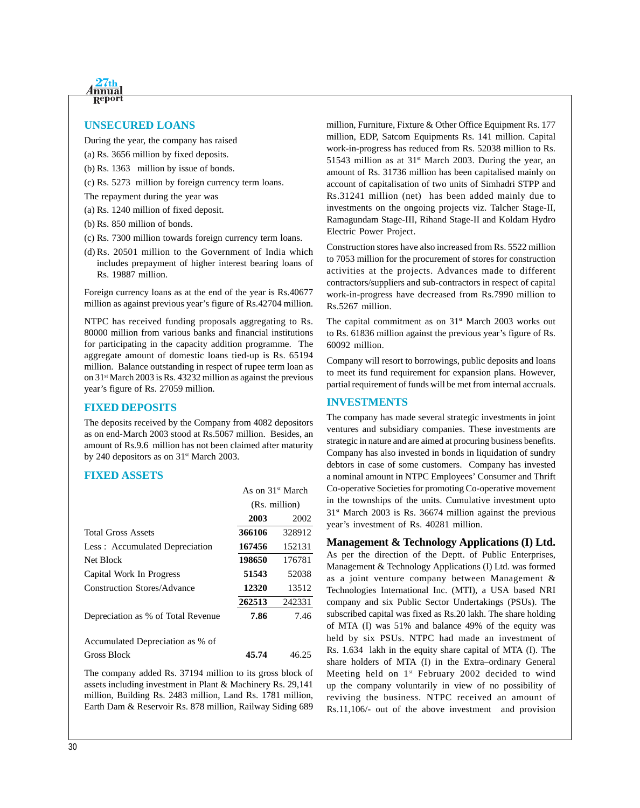

#### **UNSECURED LOANS**

During the year, the company has raised

- (a) Rs. 3656 million by fixed deposits.
- (b) Rs. 1363 million by issue of bonds.
- (c) Rs. 5273 million by foreign currency term loans.
- The repayment during the year was
- (a) Rs. 1240 million of fixed deposit.
- (b) Rs. 850 million of bonds.
- (c) Rs. 7300 million towards foreign currency term loans.
- (d) Rs. 20501 million to the Government of India which includes prepayment of higher interest bearing loans of Rs. 19887 million.

Foreign currency loans as at the end of the year is Rs.40677 million as against previous year's figure of Rs.42704 million.

NTPC has received funding proposals aggregating to Rs. 80000 million from various banks and financial institutions for participating in the capacity addition programme. The aggregate amount of domestic loans tied-up is Rs. 65194 million. Balance outstanding in respect of rupee term loan as on 31st March 2003 is Rs. 43232 million as against the previous year's figure of Rs. 27059 million.

#### **FIXED DEPOSITS**

The deposits received by the Company from 4082 depositors as on end-March 2003 stood at Rs.5067 million. Besides, an amount of Rs.9.6 million has not been claimed after maturity by 240 depositors as on 31<sup>st</sup> March 2003.

#### **FIXED ASSETS**

|                                    | As on $31st$ March |        |
|------------------------------------|--------------------|--------|
|                                    | (Rs. million)      |        |
|                                    | 2003               | 2002   |
| <b>Total Gross Assets</b>          | 366106             | 328912 |
| Less: Accumulated Depreciation     | 167456             | 152131 |
| Net Block                          | 198650             | 176781 |
| Capital Work In Progress           | 51543              | 52038  |
| <b>Construction Stores/Advance</b> | 12320              | 13512  |
|                                    | 262513             | 242331 |
| Depreciation as % of Total Revenue | 7.86               | 7.46   |
| Accumulated Depreciation as % of   |                    |        |
| Gross Block                        | 45.74              | 46.25  |

The company added Rs. 37194 million to its gross block of assets including investment in Plant & Machinery Rs. 29,141 million, Building Rs. 2483 million, Land Rs. 1781 million, Earth Dam & Reservoir Rs. 878 million, Railway Siding 689

million, Furniture, Fixture & Other Office Equipment Rs. 177 million, EDP, Satcom Equipments Rs. 141 million. Capital work-in-progress has reduced from Rs. 52038 million to Rs. 51543 million as at  $31<sup>st</sup>$  March 2003. During the year, an amount of Rs. 31736 million has been capitalised mainly on account of capitalisation of two units of Simhadri STPP and Rs.31241 million (net) has been added mainly due to investments on the ongoing projects viz. Talcher Stage-II, Ramagundam Stage-III, Rihand Stage-II and Koldam Hydro Electric Power Project.

Construction stores have also increased from Rs. 5522 million to 7053 million for the procurement of stores for construction activities at the projects. Advances made to different contractors/suppliers and sub-contractors in respect of capital work-in-progress have decreased from Rs.7990 million to Rs.5267 million.

The capital commitment as on  $31<sup>st</sup>$  March 2003 works out to Rs. 61836 million against the previous year's figure of Rs. 60092 million.

Company will resort to borrowings, public deposits and loans to meet its fund requirement for expansion plans. However, partial requirement of funds will be met from internal accruals.

#### **INVESTMENTS**

The company has made several strategic investments in joint ventures and subsidiary companies. These investments are strategic in nature and are aimed at procuring business benefits. Company has also invested in bonds in liquidation of sundry debtors in case of some customers. Company has invested a nominal amount in NTPC Employees' Consumer and Thrift Co-operative Societies for promoting Co-operative movement in the townships of the units. Cumulative investment upto  $31<sup>st</sup>$  March 2003 is Rs. 36674 million against the previous year's investment of Rs. 40281 million.

**Management & Technology Applications (I) Ltd.** As per the direction of the Deptt. of Public Enterprises, Management & Technology Applications (I) Ltd. was formed as a joint venture company between Management & Technologies International Inc. (MTI), a USA based NRI company and six Public Sector Undertakings (PSUs). The subscribed capital was fixed as Rs.20 lakh. The share holding of MTA (I) was 51% and balance 49% of the equity was held by six PSUs. NTPC had made an investment of Rs. 1.634 lakh in the equity share capital of MTA (I). The share holders of MTA (I) in the Extra–ordinary General Meeting held on 1<sup>st</sup> February 2002 decided to wind up the company voluntarily in view of no possibility of reviving the business. NTPC received an amount of Rs.11,106/- out of the above investment and provision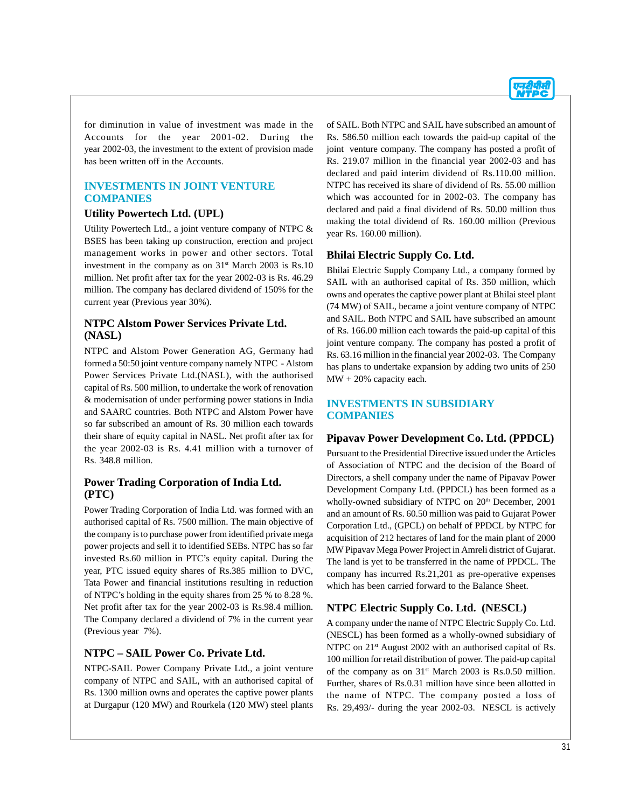

for diminution in value of investment was made in the Accounts for the year 2001-02. During the year 2002-03, the investment to the extent of provision made has been written off in the Accounts.

## **INVESTMENTS IN JOINT VENTURE COMPANIES**

## **Utility Powertech Ltd. (UPL)**

Utility Powertech Ltd., a joint venture company of NTPC & BSES has been taking up construction, erection and project management works in power and other sectors. Total investment in the company as on  $31<sup>st</sup>$  March 2003 is Rs.10 million. Net profit after tax for the year 2002-03 is Rs. 46.29 million. The company has declared dividend of 150% for the current year (Previous year 30%).

## **NTPC Alstom Power Services Private Ltd. (NASL)**

NTPC and Alstom Power Generation AG, Germany had formed a 50:50 joint venture company namely NTPC - Alstom Power Services Private Ltd.(NASL), with the authorised capital of Rs. 500 million, to undertake the work of renovation & modernisation of under performing power stations in India and SAARC countries. Both NTPC and Alstom Power have so far subscribed an amount of Rs. 30 million each towards their share of equity capital in NASL. Net profit after tax for the year 2002-03 is Rs. 4.41 million with a turnover of Rs. 348.8 million.

## **Power Trading Corporation of India Ltd. (PTC)**

Power Trading Corporation of India Ltd. was formed with an authorised capital of Rs. 7500 million. The main objective of the company is to purchase power from identified private mega power projects and sell it to identified SEBs. NTPC has so far invested Rs.60 million in PTC's equity capital. During the year, PTC issued equity shares of Rs.385 million to DVC, Tata Power and financial institutions resulting in reduction of NTPC's holding in the equity shares from 25 % to 8.28 %. Net profit after tax for the year 2002-03 is Rs.98.4 million. The Company declared a dividend of 7% in the current year (Previous year 7%).

## **NTPC – SAIL Power Co. Private Ltd.**

NTPC-SAIL Power Company Private Ltd., a joint venture company of NTPC and SAIL, with an authorised capital of Rs. 1300 million owns and operates the captive power plants at Durgapur (120 MW) and Rourkela (120 MW) steel plants of SAIL. Both NTPC and SAIL have subscribed an amount of Rs. 586.50 million each towards the paid-up capital of the joint venture company. The company has posted a profit of Rs. 219.07 million in the financial year 2002-03 and has declared and paid interim dividend of Rs.110.00 million. NTPC has received its share of dividend of Rs. 55.00 million which was accounted for in 2002-03. The company has declared and paid a final dividend of Rs. 50.00 million thus making the total dividend of Rs. 160.00 million (Previous year Rs. 160.00 million).

## **Bhilai Electric Supply Co. Ltd.**

Bhilai Electric Supply Company Ltd., a company formed by SAIL with an authorised capital of Rs. 350 million, which owns and operates the captive power plant at Bhilai steel plant (74 MW) of SAIL, became a joint venture company of NTPC and SAIL. Both NTPC and SAIL have subscribed an amount of Rs. 166.00 million each towards the paid-up capital of this joint venture company. The company has posted a profit of Rs. 63.16 million in the financial year 2002-03. The Company has plans to undertake expansion by adding two units of 250  $MW + 20\%$  capacity each.

## **INVESTMENTS IN SUBSIDIARY COMPANIES**

## **Pipavav Power Development Co. Ltd. (PPDCL)**

Pursuant to the Presidential Directive issued under the Articles of Association of NTPC and the decision of the Board of Directors, a shell company under the name of Pipavav Power Development Company Ltd. (PPDCL) has been formed as a wholly-owned subsidiary of NTPC on 20<sup>th</sup> December, 2001 and an amount of Rs. 60.50 million was paid to Gujarat Power Corporation Ltd., (GPCL) on behalf of PPDCL by NTPC for acquisition of 212 hectares of land for the main plant of 2000 MW Pipavav Mega Power Project in Amreli district of Gujarat. The land is yet to be transferred in the name of PPDCL. The company has incurred Rs.21,201 as pre-operative expenses which has been carried forward to the Balance Sheet.

## **NTPC Electric Supply Co. Ltd. (NESCL)**

A company under the name of NTPC Electric Supply Co. Ltd. (NESCL) has been formed as a wholly-owned subsidiary of NTPC on 21<sup>st</sup> August 2002 with an authorised capital of Rs. 100 million for retail distribution of power. The paid-up capital of the company as on  $31<sup>st</sup>$  March 2003 is Rs.0.50 million. Further, shares of Rs.0.31 million have since been allotted in the name of NTPC. The company posted a loss of Rs. 29,493/- during the year 2002-03. NESCL is actively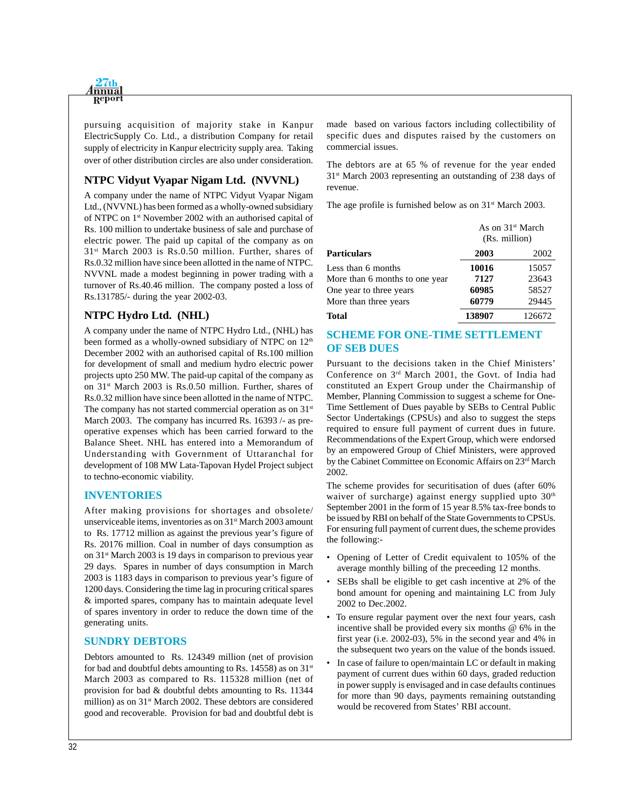

pursuing acquisition of majority stake in Kanpur ElectricSupply Co. Ltd., a distribution Company for retail supply of electricity in Kanpur electricity supply area. Taking over of other distribution circles are also under consideration.

## **NTPC Vidyut Vyapar Nigam Ltd. (NVVNL)**

A company under the name of NTPC Vidyut Vyapar Nigam Ltd., (NVVNL) has been formed as a wholly-owned subsidiary of NTPC on 1st November 2002 with an authorised capital of Rs. 100 million to undertake business of sale and purchase of electric power. The paid up capital of the company as on 31st March 2003 is Rs.0.50 million. Further, shares of Rs.0.32 million have since been allotted in the name of NTPC. NVVNL made a modest beginning in power trading with a turnover of Rs.40.46 million. The company posted a loss of Rs.131785/- during the year 2002-03.

## **NTPC Hydro Ltd. (NHL)**

A company under the name of NTPC Hydro Ltd., (NHL) has been formed as a wholly-owned subsidiary of NTPC on 12<sup>th</sup> December 2002 with an authorised capital of Rs.100 million for development of small and medium hydro electric power projects upto 250 MW. The paid-up capital of the company as on 31st March 2003 is Rs.0.50 million. Further, shares of Rs.0.32 million have since been allotted in the name of NTPC. The company has not started commercial operation as on  $31<sup>st</sup>$ March 2003. The company has incurred Rs. 16393 /- as preoperative expenses which has been carried forward to the Balance Sheet. NHL has entered into a Memorandum of Understanding with Government of Uttaranchal for development of 108 MW Lata-Tapovan Hydel Project subject to techno-economic viability.

## **INVENTORIES**

After making provisions for shortages and obsolete/ unserviceable items, inventories as on 31<sup>st</sup> March 2003 amount to Rs. 17712 million as against the previous year's figure of Rs. 20176 million. Coal in number of days consumption as on 31st March 2003 is 19 days in comparison to previous year 29 days. Spares in number of days consumption in March 2003 is 1183 days in comparison to previous year's figure of 1200 days. Considering the time lag in procuring critical spares & imported spares, company has to maintain adequate level of spares inventory in order to reduce the down time of the generating units.

## **SUNDRY DEBTORS**

Debtors amounted to Rs. 124349 million (net of provision for bad and doubtful debts amounting to Rs. 14558) as on  $31<sup>st</sup>$ March 2003 as compared to Rs. 115328 million (net of provision for bad & doubtful debts amounting to Rs. 11344 million) as on 31<sup>st</sup> March 2002. These debtors are considered good and recoverable. Provision for bad and doubtful debt is made based on various factors including collectibility of specific dues and disputes raised by the customers on commercial issues.

The debtors are at 65 % of revenue for the year ended 31st March 2003 representing an outstanding of 238 days of revenue.

The age profile is furnished below as on  $31<sup>st</sup>$  March 2003.

|                                | (Rs. million) | As on $31st$ March |
|--------------------------------|---------------|--------------------|
| <b>Particulars</b>             | 2003          | 2002               |
| Less than 6 months             | 10016         | 15057              |
| More than 6 months to one year | 7127          | 23643              |
| One year to three years        | 60985         | 58527              |
| More than three years          | 60779         | 29445              |
| <b>Total</b>                   | 138907        | 126672             |

## **SCHEME FOR ONE-TIME SETTLEMENT OF SEB DUES**

Pursuant to the decisions taken in the Chief Ministers' Conference on 3rd March 2001, the Govt. of India had constituted an Expert Group under the Chairmanship of Member, Planning Commission to suggest a scheme for One-Time Settlement of Dues payable by SEBs to Central Public Sector Undertakings (CPSUs) and also to suggest the steps required to ensure full payment of current dues in future. Recommendations of the Expert Group, which were endorsed by an empowered Group of Chief Ministers, were approved by the Cabinet Committee on Economic Affairs on 23rd March 2002.

The scheme provides for securitisation of dues (after 60% waiver of surcharge) against energy supplied upto 30<sup>th</sup> September 2001 in the form of 15 year 8.5% tax-free bonds to be issued by RBI on behalf of the State Governments to CPSUs. For ensuring full payment of current dues, the scheme provides the following:-

- Opening of Letter of Credit equivalent to 105% of the average monthly billing of the preceeding 12 months.
- SEBs shall be eligible to get cash incentive at 2% of the bond amount for opening and maintaining LC from July 2002 to Dec.2002.
- To ensure regular payment over the next four years, cash incentive shall be provided every six months @ 6% in the first year (i.e. 2002-03), 5% in the second year and 4% in the subsequent two years on the value of the bonds issued.
- In case of failure to open/maintain LC or default in making payment of current dues within 60 days, graded reduction in power supply is envisaged and in case defaults continues for more than 90 days, payments remaining outstanding would be recovered from States' RBI account.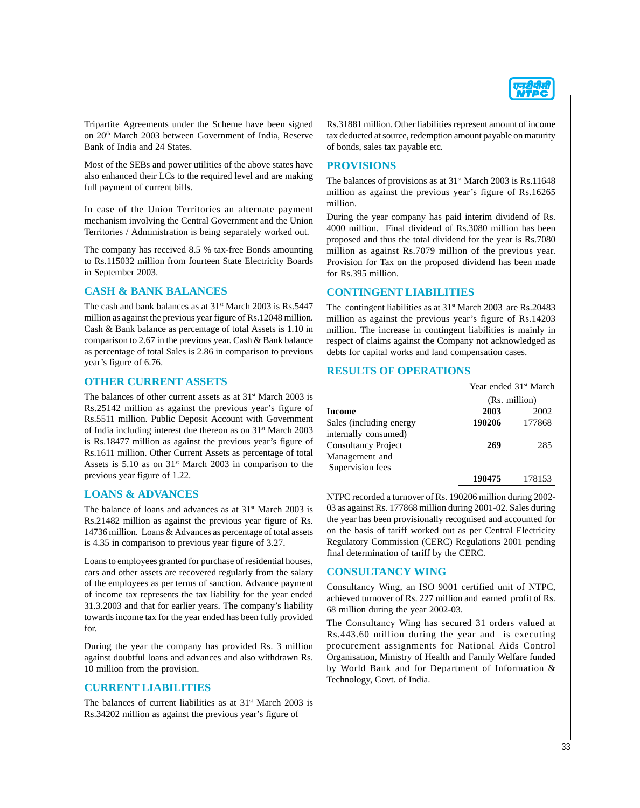

Tripartite Agreements under the Scheme have been signed on 20th March 2003 between Government of India, Reserve Bank of India and 24 States.

Most of the SEBs and power utilities of the above states have also enhanced their LCs to the required level and are making full payment of current bills.

In case of the Union Territories an alternate payment mechanism involving the Central Government and the Union Territories / Administration is being separately worked out.

The company has received 8.5 % tax-free Bonds amounting to Rs.115032 million from fourteen State Electricity Boards in September 2003.

#### **CASH & BANK BALANCES**

The cash and bank balances as at 31<sup>st</sup> March 2003 is Rs.5447 million as against the previous year figure of Rs.12048 million. Cash & Bank balance as percentage of total Assets is 1.10 in comparison to 2.67 in the previous year. Cash & Bank balance as percentage of total Sales is 2.86 in comparison to previous year's figure of 6.76.

#### **OTHER CURRENT ASSETS**

The balances of other current assets as at  $31<sup>st</sup>$  March 2003 is Rs.25142 million as against the previous year's figure of Rs.5511 million. Public Deposit Account with Government of India including interest due thereon as on 31st March 2003 is Rs.18477 million as against the previous year's figure of Rs.1611 million. Other Current Assets as percentage of total Assets is 5.10 as on 31<sup>st</sup> March 2003 in comparison to the previous year figure of 1.22.

#### **LOANS & ADVANCES**

The balance of loans and advances as at  $31<sup>st</sup>$  March 2003 is Rs.21482 million as against the previous year figure of Rs. 14736 million. Loans & Advances as percentage of total assets is 4.35 in comparison to previous year figure of 3.27.

Loans to employees granted for purchase of residential houses, cars and other assets are recovered regularly from the salary of the employees as per terms of sanction. Advance payment of income tax represents the tax liability for the year ended 31.3.2003 and that for earlier years. The company's liability towards income tax for the year ended has been fully provided for.

During the year the company has provided Rs. 3 million against doubtful loans and advances and also withdrawn Rs. 10 million from the provision.

#### **CURRENT LIABILITIES**

The balances of current liabilities as at  $31<sup>st</sup>$  March 2003 is Rs.34202 million as against the previous year's figure of

Rs.31881 million. Other liabilities represent amount of income tax deducted at source, redemption amount payable on maturity of bonds, sales tax payable etc.

#### **PROVISIONS**

The balances of provisions as at 31<sup>st</sup> March 2003 is Rs.11648 million as against the previous year's figure of Rs.16265 million.

During the year company has paid interim dividend of Rs. 4000 million. Final dividend of Rs.3080 million has been proposed and thus the total dividend for the year is Rs.7080 million as against Rs.7079 million of the previous year. Provision for Tax on the proposed dividend has been made for Rs.395 million.

#### **CONTINGENT LIABILITIES**

The contingent liabilities as at  $31<sup>st</sup>$  March 2003 are Rs.20483 million as against the previous year's figure of Rs.14203 million. The increase in contingent liabilities is mainly in respect of claims against the Company not acknowledged as debts for capital works and land compensation cases.

#### **RESULTS OF OPERATIONS**

|                                                                  | Year ended 31 <sup>st</sup> March |        |
|------------------------------------------------------------------|-----------------------------------|--------|
|                                                                  | (Rs. million)                     |        |
| Income                                                           | 2003                              | 2002   |
| Sales (including energy<br>internally consumed)                  | 190206                            | 177868 |
| <b>Consultancy Project</b><br>Management and<br>Supervision fees | 269                               | 285    |
|                                                                  | 190475                            | 178153 |

NTPC recorded a turnover of Rs. 190206 million during 2002- 03 as against Rs. 177868 million during 2001-02. Sales during the year has been provisionally recognised and accounted for on the basis of tariff worked out as per Central Electricity Regulatory Commission (CERC) Regulations 2001 pending final determination of tariff by the CERC.

## **CONSULTANCY WING**

Consultancy Wing, an ISO 9001 certified unit of NTPC, achieved turnover of Rs. 227 million and earned profit of Rs. 68 million during the year 2002-03.

The Consultancy Wing has secured 31 orders valued at Rs.443.60 million during the year and is executing procurement assignments for National Aids Control Organisation, Ministry of Health and Family Welfare funded by World Bank and for Department of Information & Technology, Govt. of India.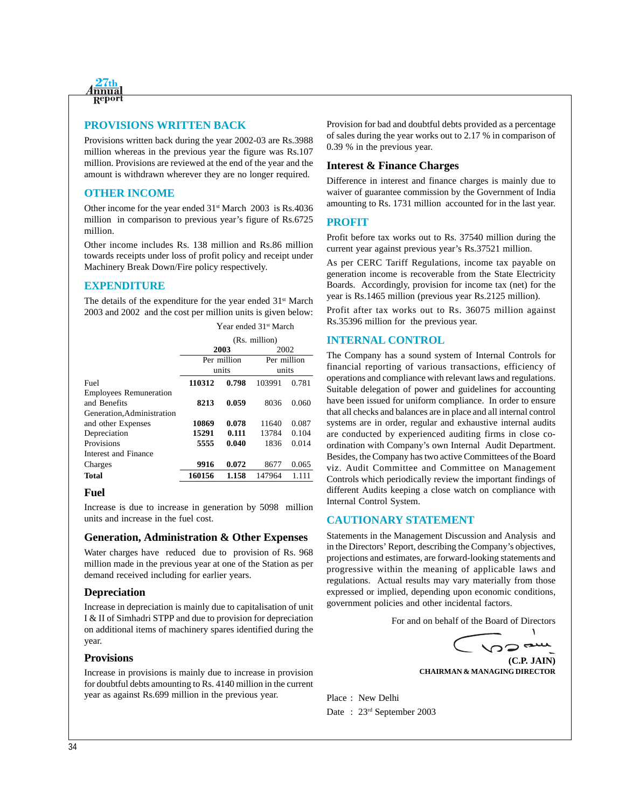

## **PROVISIONS WRITTEN BACK**

Provisions written back during the year 2002-03 are Rs.3988 million whereas in the previous year the figure was Rs.107 million. Provisions are reviewed at the end of the year and the amount is withdrawn wherever they are no longer required.

#### **OTHER INCOME**

Other income for the year ended 31st March 2003 is Rs.4036 million in comparison to previous year's figure of Rs.6725 million.

Other income includes Rs. 138 million and Rs.86 million towards receipts under loss of profit policy and receipt under Machinery Break Down/Fire policy respectively.

## **EXPENDITURE**

The details of the expenditure for the year ended  $31<sup>st</sup>$  March 2003 and 2002 and the cost per million units is given below:

|                                               | (Rs. million) |       |             |       |
|-----------------------------------------------|---------------|-------|-------------|-------|
|                                               |               | 2003  | 2002        |       |
|                                               | Per million   |       | Per million |       |
|                                               | units         |       | units       |       |
| Fuel                                          | 110312        | 0.798 | 103991      | 0.781 |
| <b>Employees Remuneration</b><br>and Benefits | 8213          | 0.059 | 8036        | 0.060 |
| Generation, Administration                    |               |       |             |       |
| and other Expenses                            | 10869         | 0.078 | 11640       | 0.087 |
| Depreciation                                  | 15291         | 0.111 | 13784       | 0.104 |
| Provisions                                    | 5555          | 0.040 | 1836        | 0.014 |
| Interest and Finance                          |               |       |             |       |
| Charges                                       | 9916          | 0.072 | 8677        | 0.065 |
| Total                                         | 160156        | 1.158 | 147964      | 1.111 |
|                                               |               |       |             |       |

#### Year ended 31<sup>st</sup> March

#### **Fuel**

Increase is due to increase in generation by 5098 million units and increase in the fuel cost.

#### **Generation, Administration & Other Expenses**

Water charges have reduced due to provision of Rs. 968 million made in the previous year at one of the Station as per demand received including for earlier years.

#### **Depreciation**

Increase in depreciation is mainly due to capitalisation of unit I & II of Simhadri STPP and due to provision for depreciation on additional items of machinery spares identified during the year.

#### **Provisions**

Increase in provisions is mainly due to increase in provision for doubtful debts amounting to Rs. 4140 million in the current year as against Rs.699 million in the previous year.

Provision for bad and doubtful debts provided as a percentage of sales during the year works out to 2.17 % in comparison of 0.39 % in the previous year.

#### **Interest & Finance Charges**

Difference in interest and finance charges is mainly due to waiver of guarantee commission by the Government of India amounting to Rs. 1731 million accounted for in the last year.

#### **PROFIT**

Profit before tax works out to Rs. 37540 million during the current year against previous year's Rs.37521 million.

As per CERC Tariff Regulations, income tax payable on generation income is recoverable from the State Electricity Boards. Accordingly, provision for income tax (net) for the year is Rs.1465 million (previous year Rs.2125 million).

Profit after tax works out to Rs. 36075 million against Rs.35396 million for the previous year.

#### **INTERNAL CONTROL**

The Company has a sound system of Internal Controls for financial reporting of various transactions, efficiency of operations and compliance with relevant laws and regulations. Suitable delegation of power and guidelines for accounting have been issued for uniform compliance. In order to ensure that all checks and balances are in place and all internal control systems are in order, regular and exhaustive internal audits are conducted by experienced auditing firms in close coordination with Company's own Internal Audit Department. Besides, the Company has two active Committees of the Board viz. Audit Committee and Committee on Management Controls which periodically review the important findings of different Audits keeping a close watch on compliance with Internal Control System.

#### **CAUTIONARY STATEMENT**

Statements in the Management Discussion and Analysis and in the Directors' Report, describing the Company's objectives, projections and estimates, are forward-looking statements and progressive within the meaning of applicable laws and regulations. Actual results may vary materially from those expressed or implied, depending upon economic conditions, government policies and other incidental factors.

For and on behalf of the Board of Directors

**(C.P. JAIN)**

 $\mathbf{A}$ 

**CHAIRMAN & MANAGING DIRECTOR**

Place : New Delhi Date : 23rd September 2003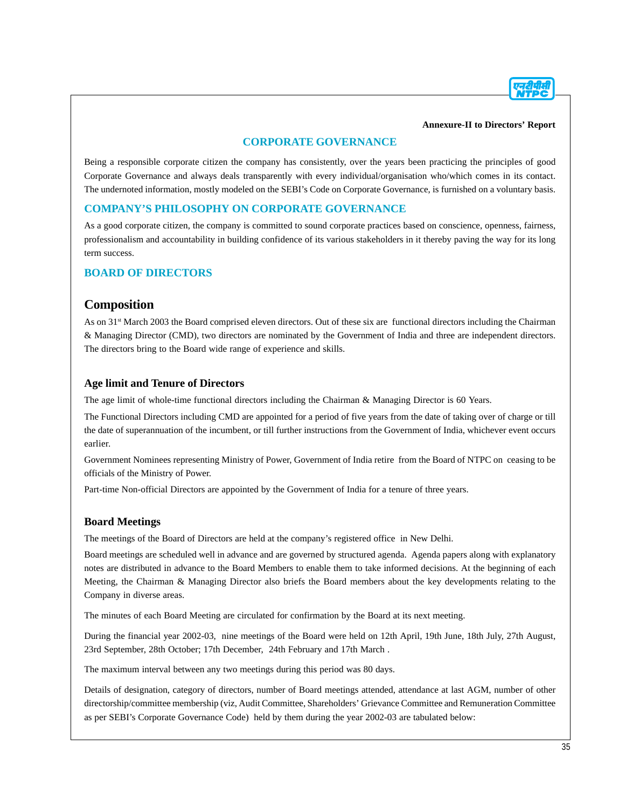#### **Annexure-II to Directors' Report**

## **CORPORATE GOVERNANCE**

Being a responsible corporate citizen the company has consistently, over the years been practicing the principles of good Corporate Governance and always deals transparently with every individual/organisation who/which comes in its contact. The undernoted information, mostly modeled on the SEBI's Code on Corporate Governance, is furnished on a voluntary basis.

## **COMPANY'S PHILOSOPHY ON CORPORATE GOVERNANCE**

As a good corporate citizen, the company is committed to sound corporate practices based on conscience, openness, fairness, professionalism and accountability in building confidence of its various stakeholders in it thereby paving the way for its long term success.

## **BOARD OF DIRECTORS**

## **Composition**

As on 31<sup>st</sup> March 2003 the Board comprised eleven directors. Out of these six are functional directors including the Chairman & Managing Director (CMD), two directors are nominated by the Government of India and three are independent directors. The directors bring to the Board wide range of experience and skills.

## **Age limit and Tenure of Directors**

The age limit of whole-time functional directors including the Chairman & Managing Director is 60 Years.

The Functional Directors including CMD are appointed for a period of five years from the date of taking over of charge or till the date of superannuation of the incumbent, or till further instructions from the Government of India, whichever event occurs earlier.

Government Nominees representing Ministry of Power, Government of India retire from the Board of NTPC on ceasing to be officials of the Ministry of Power.

Part-time Non-official Directors are appointed by the Government of India for a tenure of three years.

## **Board Meetings**

The meetings of the Board of Directors are held at the company's registered office in New Delhi.

Board meetings are scheduled well in advance and are governed by structured agenda. Agenda papers along with explanatory notes are distributed in advance to the Board Members to enable them to take informed decisions. At the beginning of each Meeting, the Chairman & Managing Director also briefs the Board members about the key developments relating to the Company in diverse areas.

The minutes of each Board Meeting are circulated for confirmation by the Board at its next meeting.

During the financial year 2002-03, nine meetings of the Board were held on 12th April, 19th June, 18th July, 27th August, 23rd September, 28th October; 17th December, 24th February and 17th March .

The maximum interval between any two meetings during this period was 80 days.

Details of designation, category of directors, number of Board meetings attended, attendance at last AGM, number of other directorship/committee membership (viz, Audit Committee, Shareholders' Grievance Committee and Remuneration Committee as per SEBI's Corporate Governance Code) held by them during the year 2002-03 are tabulated below: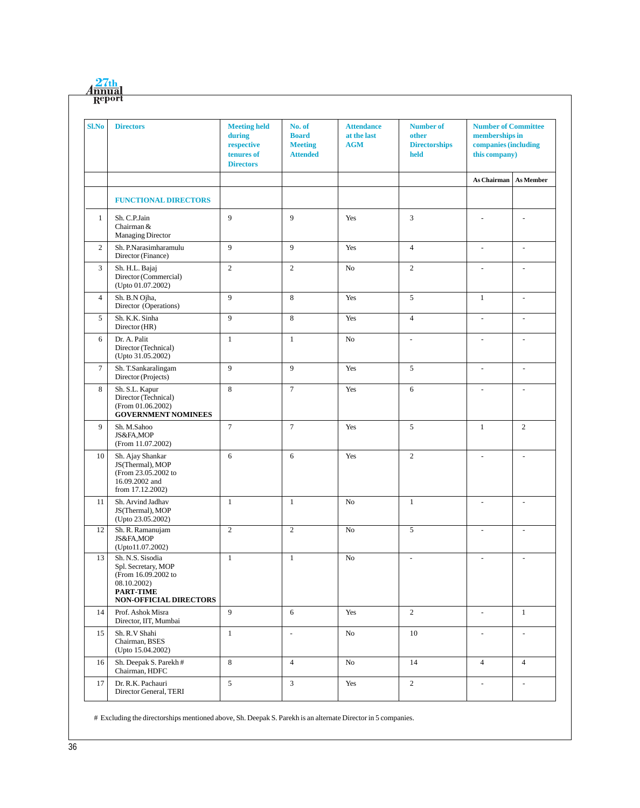| <b>Sl.No</b>   | <b>Directors</b>                                                                                                            | <b>Meeting held</b><br>during<br>respective<br>tenures of<br><b>Directors</b> | No. of<br><b>Board</b><br><b>Meeting</b><br><b>Attended</b> | <b>Attendance</b><br>at the last<br><b>AGM</b> | <b>Number of</b><br>other<br><b>Directorships</b><br>held | <b>Number of Committee</b><br>memberships in<br>companies (including<br>this company) |                          |
|----------------|-----------------------------------------------------------------------------------------------------------------------------|-------------------------------------------------------------------------------|-------------------------------------------------------------|------------------------------------------------|-----------------------------------------------------------|---------------------------------------------------------------------------------------|--------------------------|
|                |                                                                                                                             |                                                                               |                                                             |                                                |                                                           | <b>As Chairman</b>                                                                    | <b>As Member</b>         |
|                | <b>FUNCTIONAL DIRECTORS</b>                                                                                                 |                                                                               |                                                             |                                                |                                                           |                                                                                       |                          |
| $\mathbf{1}$   | Sh. C.P.Jain<br>Chairman &<br>Managing Director                                                                             | 9                                                                             | 9                                                           | Yes                                            | 3                                                         |                                                                                       |                          |
| 2              | Sh. P.Narasimharamulu<br>Director (Finance)                                                                                 | 9                                                                             | 9                                                           | Yes                                            | $\overline{4}$                                            | $\overline{\phantom{a}}$                                                              | $\overline{\phantom{a}}$ |
| 3              | Sh. H.L. Bajaj<br>Director (Commercial)<br>(Upto 01.07.2002)                                                                | 2                                                                             | $\overline{2}$                                              | No                                             | $\overline{c}$                                            | $\overline{\phantom{a}}$                                                              | $\overline{\phantom{a}}$ |
| $\overline{4}$ | Sh. B.N Ojha,<br>Director (Operations)                                                                                      | 9                                                                             | $\,8\,$                                                     | Yes                                            | 5                                                         | $\mathbf{1}$                                                                          | $\overline{\phantom{a}}$ |
| 5              | Sh. K.K. Sinha<br>Director (HR)                                                                                             | 9                                                                             | 8                                                           | Yes                                            | $\overline{4}$                                            | $\sim$                                                                                | L.                       |
| 6              | Dr. A. Palit<br>Director (Technical)<br>(Upto 31.05.2002)                                                                   | $\mathbf{1}$                                                                  | $\mathbf{1}$                                                | N <sub>o</sub>                                 | $\overline{\phantom{a}}$                                  |                                                                                       | $\sim$                   |
| $\tau$         | Sh. T.Sankaralingam<br>Director (Projects)                                                                                  | 9                                                                             | 9                                                           | Yes                                            | 5                                                         | $\overline{\phantom{a}}$                                                              | $\overline{\phantom{a}}$ |
| 8              | Sh. S.L. Kapur<br>Director (Technical)<br>(From 01.06.2002)<br><b>GOVERNMENT NOMINEES</b>                                   | 8                                                                             | $\tau$                                                      | Yes                                            | 6                                                         |                                                                                       |                          |
| 9              | Sh. M.Sahoo<br>JS&FA,MOP<br>(From 11.07.2002)                                                                               | $\overline{7}$                                                                | $\tau$                                                      | Yes                                            | 5                                                         | $\mathbf{1}$                                                                          | $\overline{2}$           |
| 10             | Sh. Ajay Shankar<br>JS(Thermal), MOP<br>(From 23.05.2002 to<br>16.09.2002 and<br>from 17.12.2002)                           | 6                                                                             | 6                                                           | Yes                                            | $\overline{c}$                                            |                                                                                       |                          |
| $11\,$         | Sh. Arvind Jadhav<br>JS(Thermal), MOP<br>(Upto 23.05.2002)                                                                  | $\mathbf{1}$                                                                  | $\mathbf{1}$                                                | No                                             | $\mathbf{1}$                                              | $\overline{\phantom{a}}$                                                              | $\overline{\phantom{a}}$ |
| 12             | Sh. R. Ramanujam<br>JS&FA,MOP<br>(Upto11.07.2002)                                                                           | $\overline{c}$                                                                | $\mathbf{2}$                                                | No                                             | 5                                                         | $\overline{a}$                                                                        | $\overline{\phantom{a}}$ |
| 13             | Sh. N.S. Sisodia<br>Spl. Secretary, MOP<br>(From 16.09.2002 to<br>08.10.2002)<br><b>PART-TIME</b><br>NON-OFFICIAL DIRECTORS | $\mathbf{1}$                                                                  | $\mathbf{1}$                                                | No                                             | $\overline{\phantom{a}}$                                  |                                                                                       | $\overline{\phantom{a}}$ |
| 14             | Prof. Ashok Misra<br>Director, IIT, Mumbai                                                                                  | 9                                                                             | 6                                                           | Yes                                            | $\overline{2}$                                            | $\overline{a}$                                                                        | $\mathbf{1}$             |
| 15             | Sh. R.V Shahi<br>Chairman, BSES<br>(Upto 15.04.2002)                                                                        | $\mathbf{1}$                                                                  | $\overline{\phantom{a}}$                                    | No                                             | $10\,$                                                    | $\overline{\phantom{a}}$                                                              | $\overline{\phantom{a}}$ |
| 16             | Sh. Deepak S. Parekh#<br>Chairman, HDFC                                                                                     | 8                                                                             | $\overline{4}$                                              | $\rm No$                                       | 14                                                        | $\overline{4}$                                                                        | $\overline{4}$           |
| 17             | Dr. R.K. Pachauri<br>Director General, TERI                                                                                 | $\sqrt{5}$                                                                    | $\mathfrak z$                                               | Yes                                            | $\boldsymbol{2}$                                          | $\overline{\phantom{a}}$                                                              | $\overline{\phantom{a}}$ |

# Excluding the directorships mentioned above, Sh. Deepak S. Parekh is an alternate Director in 5 companies.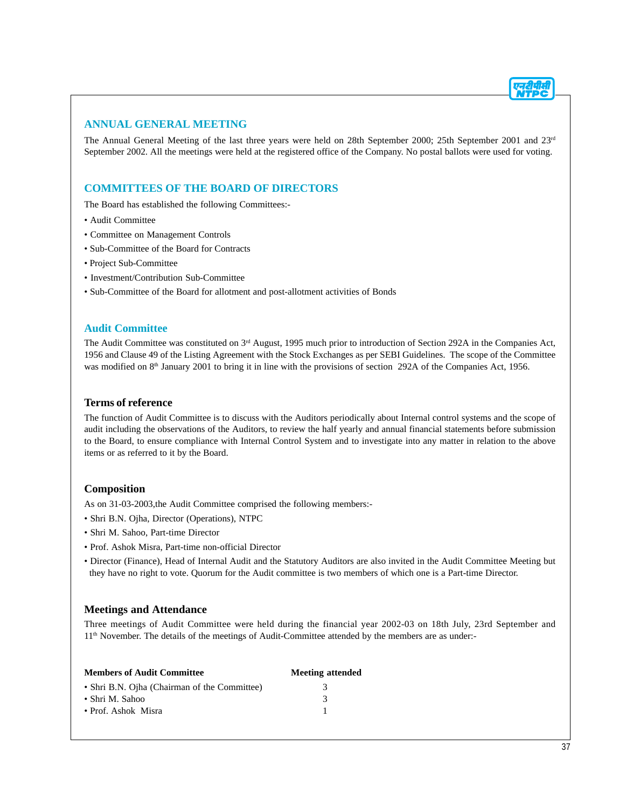## **ANNUAL GENERAL MEETING**

The Annual General Meeting of the last three years were held on 28th September 2000; 25th September 2001 and 23<sup>rd</sup> September 2002. All the meetings were held at the registered office of the Company. No postal ballots were used for voting.

## **COMMITTEES OF THE BOARD OF DIRECTORS**

The Board has established the following Committees:-

- Audit Committee
- Committee on Management Controls
- Sub-Committee of the Board for Contracts
- Project Sub-Committee
- Investment/Contribution Sub-Committee
- Sub-Committee of the Board for allotment and post-allotment activities of Bonds

#### **Audit Committee**

The Audit Committee was constituted on 3<sup>rd</sup> August, 1995 much prior to introduction of Section 292A in the Companies Act, 1956 and Clause 49 of the Listing Agreement with the Stock Exchanges as per SEBI Guidelines. The scope of the Committee was modified on 8<sup>th</sup> January 2001 to bring it in line with the provisions of section 292A of the Companies Act, 1956.

#### **Terms of reference**

The function of Audit Committee is to discuss with the Auditors periodically about Internal control systems and the scope of audit including the observations of the Auditors, to review the half yearly and annual financial statements before submission to the Board, to ensure compliance with Internal Control System and to investigate into any matter in relation to the above items or as referred to it by the Board.

#### **Composition**

As on 31-03-2003,the Audit Committee comprised the following members:-

- Shri B.N. Ojha, Director (Operations), NTPC
- Shri M. Sahoo, Part-time Director
- Prof. Ashok Misra, Part-time non-official Director
- Director (Finance), Head of Internal Audit and the Statutory Auditors are also invited in the Audit Committee Meeting but they have no right to vote. Quorum for the Audit committee is two members of which one is a Part-time Director.

## **Meetings and Attendance**

Three meetings of Audit Committee were held during the financial year 2002-03 on 18th July, 23rd September and 11th November. The details of the meetings of Audit-Committee attended by the members are as under:-

| <b>Members of Audit Committee</b>            | <b>Meeting attended</b> |
|----------------------------------------------|-------------------------|
| • Shri B.N. Ojha (Chairman of the Committee) | 3                       |
| • Shri M. Sahoo                              | 3                       |
| • Prof. Ashok Misra                          |                         |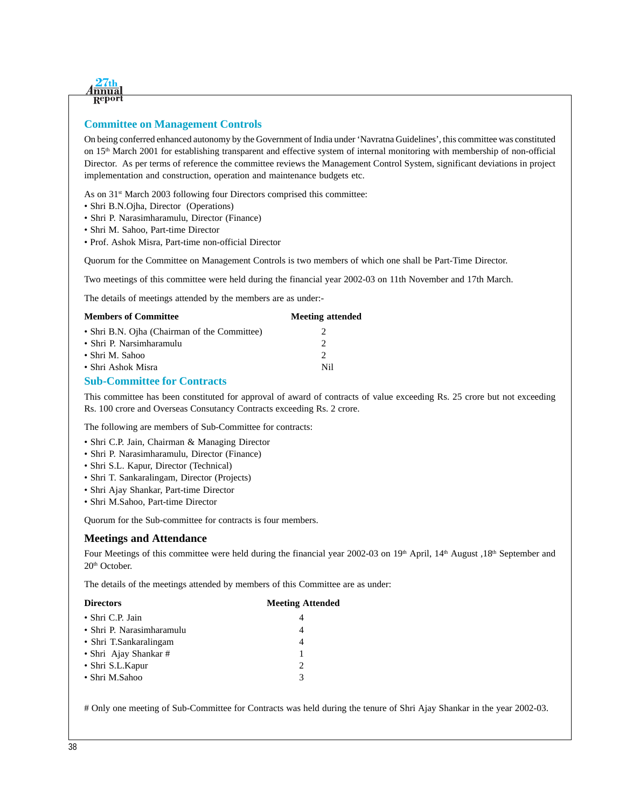

## **Committee on Management Controls**

On being conferred enhanced autonomy by the Government of India under 'Navratna Guidelines', this committee was constituted on  $15<sup>th</sup>$  March 2001 for establishing transparent and effective system of internal monitoring with membership of non-official Director. As per terms of reference the committee reviews the Management Control System, significant deviations in project implementation and construction, operation and maintenance budgets etc.

As on 31<sup>st</sup> March 2003 following four Directors comprised this committee:

- Shri B.N.Ojha, Director (Operations)
- Shri P. Narasimharamulu, Director (Finance)
- Shri M. Sahoo, Part-time Director
- Prof. Ashok Misra, Part-time non-official Director

Quorum for the Committee on Management Controls is two members of which one shall be Part-Time Director.

Two meetings of this committee were held during the financial year 2002-03 on 11th November and 17th March.

The details of meetings attended by the members are as under:-

| <b>Members of Committee</b>                  | <b>Meeting attended</b> |
|----------------------------------------------|-------------------------|
| • Shri B.N. Ojha (Chairman of the Committee) |                         |
| • Shri P. Narsimharamulu                     |                         |
| • Shri M. Sahoo                              | $\mathcal{D}$           |
| • Shri Ashok Misra                           | Ni1                     |
|                                              |                         |

#### **Sub-Committee for Contracts**

This committee has been constituted for approval of award of contracts of value exceeding Rs. 25 crore but not exceeding Rs. 100 crore and Overseas Consutancy Contracts exceeding Rs. 2 crore.

The following are members of Sub-Committee for contracts:

- Shri C.P. Jain, Chairman & Managing Director
- Shri P. Narasimharamulu, Director (Finance)
- Shri S.L. Kapur, Director (Technical)
- Shri T. Sankaralingam, Director (Projects)
- Shri Ajay Shankar, Part-time Director
- Shri M.Sahoo, Part-time Director

Quorum for the Sub-committee for contracts is four members.

#### **Meetings and Attendance**

Four Meetings of this committee were held during the financial year 2002-03 on 19<sup>th</sup> April, 14<sup>th</sup> August ,18<sup>th</sup> September and 20<sup>th</sup> October.

The details of the meetings attended by members of this Committee are as under:

| <b>Meeting Attended</b> |
|-------------------------|
| 4                       |
| 4                       |
| 4                       |
| 1                       |
| $\mathcal{L}$           |
| 3                       |
|                         |

# Only one meeting of Sub-Committee for Contracts was held during the tenure of Shri Ajay Shankar in the year 2002-03.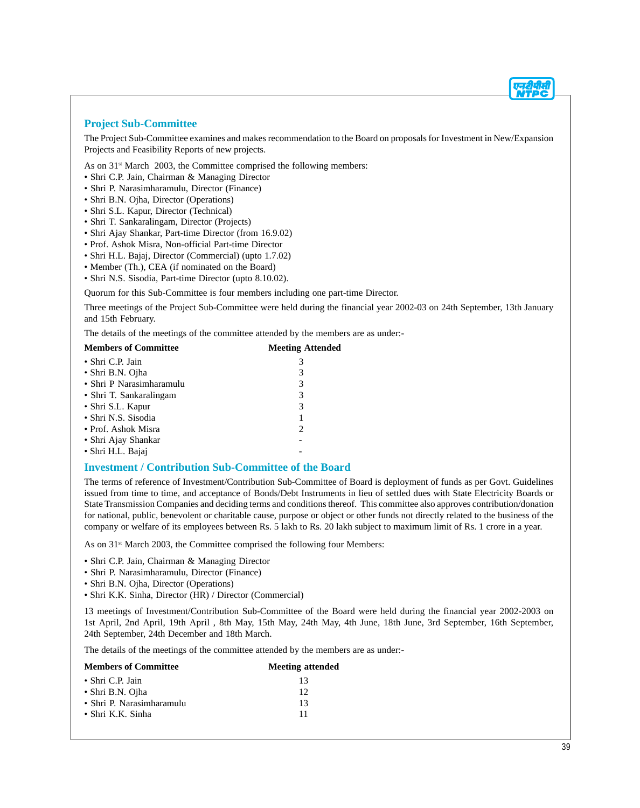#### **Project Sub-Committee**

The Project Sub-Committee examines and makes recommendation to the Board on proposals for Investment in New/Expansion Projects and Feasibility Reports of new projects.

As on  $31<sup>st</sup>$  March 2003, the Committee comprised the following members:

- Shri C.P. Jain, Chairman & Managing Director
- Shri P. Narasimharamulu, Director (Finance)
- Shri B.N. Ojha, Director (Operations)
- Shri S.L. Kapur, Director (Technical)
- Shri T. Sankaralingam, Director (Projects)
- Shri Ajay Shankar, Part-time Director (from 16.9.02)
- Prof. Ashok Misra, Non-official Part-time Director
- Shri H.L. Bajaj, Director (Commercial) (upto 1.7.02)
- Member (Th.), CEA (if nominated on the Board)
- Shri N.S. Sisodia, Part-time Director (upto 8.10.02).

Quorum for this Sub-Committee is four members including one part-time Director.

Three meetings of the Project Sub-Committee were held during the financial year 2002-03 on 24th September, 13th January and 15th February.

The details of the meetings of the committee attended by the members are as under:-

| <b>Members of Committee</b> | <b>Meeting Attended</b> |  |
|-----------------------------|-------------------------|--|
| • Shri C.P. Jain            | 3                       |  |
| • Shri B.N. Ojha            | 3                       |  |
| • Shri P Narasimharamulu    | 3                       |  |
| • Shri T. Sankaralingam     | 3                       |  |
| • Shri S.L. Kapur           | 3                       |  |
| • Shri N.S. Sisodia         |                         |  |
| • Prof. Ashok Misra         | $\mathcal{L}$           |  |
| • Shri Ajay Shankar         |                         |  |
| · Shri H.L. Bajaj           |                         |  |

#### **Investment / Contribution Sub-Committee of the Board**

The terms of reference of Investment/Contribution Sub-Committee of Board is deployment of funds as per Govt. Guidelines issued from time to time, and acceptance of Bonds/Debt Instruments in lieu of settled dues with State Electricity Boards or State Transmission Companies and deciding terms and conditions thereof. This committee also approves contribution/donation for national, public, benevolent or charitable cause, purpose or object or other funds not directly related to the business of the company or welfare of its employees between Rs. 5 lakh to Rs. 20 lakh subject to maximum limit of Rs. 1 crore in a year.

As on 31<sup>st</sup> March 2003, the Committee comprised the following four Members:

- Shri C.P. Jain, Chairman & Managing Director
- Shri P. Narasimharamulu, Director (Finance)
- Shri B.N. Ojha, Director (Operations)
- Shri K.K. Sinha, Director (HR) / Director (Commercial)

13 meetings of Investment/Contribution Sub-Committee of the Board were held during the financial year 2002-2003 on 1st April, 2nd April, 19th April , 8th May, 15th May, 24th May, 4th June, 18th June, 3rd September, 16th September, 24th September, 24th December and 18th March.

The details of the meetings of the committee attended by the members are as under:-

| <b>Members of Committee</b> | <b>Meeting attended</b> |
|-----------------------------|-------------------------|
| • Shri C.P. Jain            | 13                      |
| • Shri B.N. Ojha            | 12                      |
| • Shri P. Narasimharamulu   | 13                      |
| $\bullet$ Shri K.K. Sinha   | 11                      |
|                             |                         |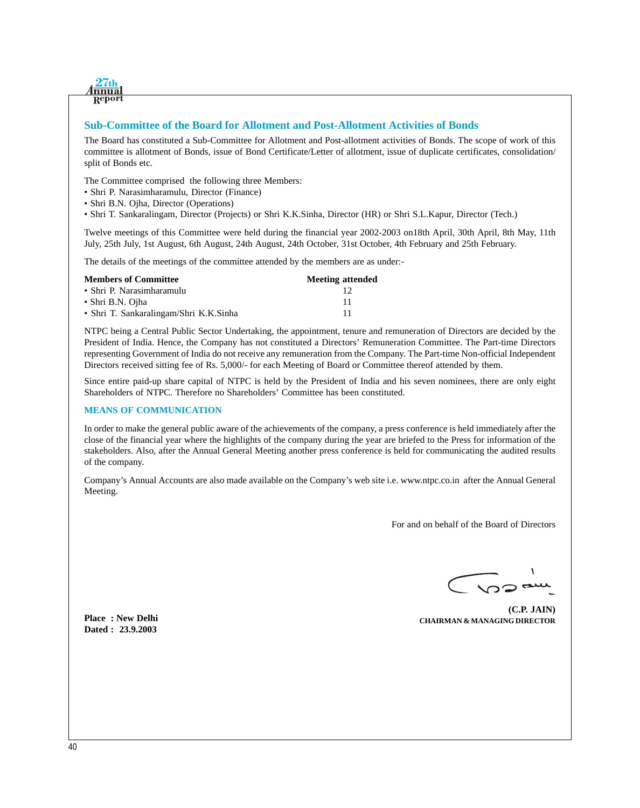

#### **Sub-Committee of the Board for Allotment and Post-Allotment Activities of Bonds**

The Board has constituted a Sub-Committee for Allotment and Post-allotment activities of Bonds. The scope of work of this committee is allotment of Bonds, issue of Bond Certificate/Letter of allotment, issue of duplicate certificates, consolidation/ split of Bonds etc.

The Committee comprised the following three Members:

- Shri P. Narasimharamulu, Director (Finance)
- Shri B.N. Ojha, Director (Operations)
- Shri T. Sankaralingam, Director (Projects) or Shri K.K.Sinha, Director (HR) or Shri S.L.Kapur, Director (Tech.)

Twelve meetings of this Committee were held during the financial year 2002-2003 on18th April, 30th April, 8th May, 11th July, 25th July, 1st August, 6th August, 24th August, 24th October, 31st October, 4th February and 25th February.

The details of the meetings of the committee attended by the members are as under:-

| <b>Members of Committee</b>            | <b>Meeting attended</b> |
|----------------------------------------|-------------------------|
| • Shri P. Narasimharamulu              |                         |
| • Shri B.N. Ojha                       | -11                     |
| • Shri T. Sankaralingam/Shri K.K.Sinha | -11                     |

NTPC being a Central Public Sector Undertaking, the appointment, tenure and remuneration of Directors are decided by the President of India. Hence, the Company has not constituted a Directors' Remuneration Committee. The Part-time Directors representing Government of India do not receive any remuneration from the Company. The Part-time Non-official Independent Directors received sitting fee of Rs. 5,000/- for each Meeting of Board or Committee thereof attended by them.

Since entire paid-up share capital of NTPC is held by the President of India and his seven nominees, there are only eight Shareholders of NTPC. Therefore no Shareholders' Committee has been constituted.

#### **MEANS OF COMMUNICATION**

In order to make the general public aware of the achievements of the company, a press conference is held immediately after the close of the financial year where the highlights of the company during the year are briefed to the Press for information of the stakeholders. Also, after the Annual General Meeting another press conference is held for communicating the audited results of the company.

Company's Annual Accounts are also made available on the Company's web site i.e. www.ntpc.co.inafter the Annual General Meeting.

For and on behalf of the Board of Directors

 $322$ 

**(C.P. JAIN) CHAIRMAN & MANAGING DIRECTOR**

**Place : New Delhi Dated : 23.9.2003**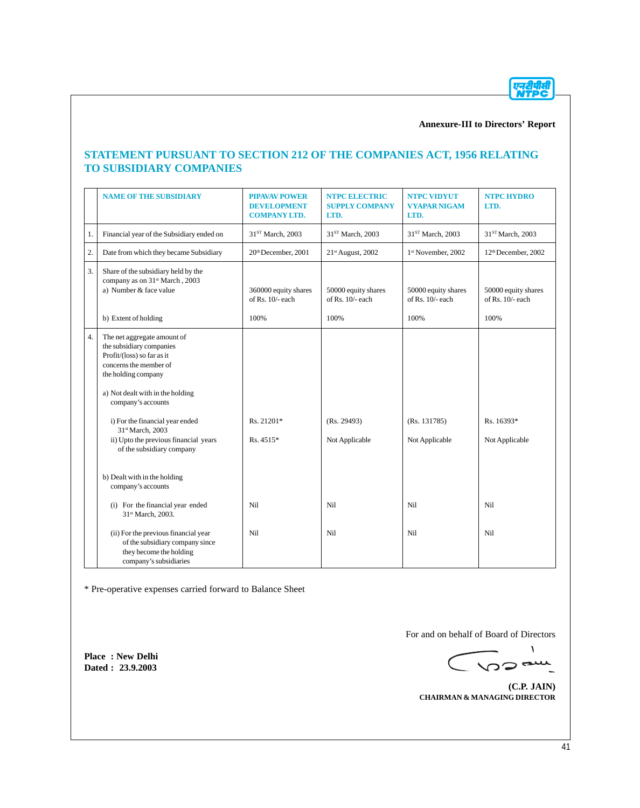एनदीपीसी<br>NTPC

## **Annexure-III to Directors' Report**

## **STATEMENT PURSUANT TO SECTION 212 OF THE COMPANIES ACT, 1956 RELATING TO SUBSIDIARY COMPANIES**

|    | <b>NAME OF THE SUBSIDIARY</b>                                                                                                                                                                                                                                                                    | <b>PIPAVAV POWER</b><br><b>DEVELOPMENT</b><br><b>COMPANY LTD.</b> | <b>NTPC ELECTRIC</b><br><b>SUPPLY COMPANY</b><br>LTD. | <b>NTPC VIDYUT</b><br><b>VYAPAR NIGAM</b><br>LTD. | <b>NTPC HYDRO</b><br>LTD.                 |
|----|--------------------------------------------------------------------------------------------------------------------------------------------------------------------------------------------------------------------------------------------------------------------------------------------------|-------------------------------------------------------------------|-------------------------------------------------------|---------------------------------------------------|-------------------------------------------|
| 1. | Financial year of the Subsidiary ended on                                                                                                                                                                                                                                                        | 31 <sup>ST</sup> March, 2003                                      | 31 <sup>ST</sup> March, 2003                          | 31 <sup>ST</sup> March, 2003                      | 31 <sup>ST</sup> March, 2003              |
| 2. | Date from which they became Subsidiary                                                                                                                                                                                                                                                           | 20th December, 2001                                               | 21st August, 2002                                     | 1 <sup>st</sup> November, 2002                    | 12 <sup>th</sup> December, 2002           |
| 3. | Share of the subsidiary held by the<br>company as on 31 <sup>st</sup> March, 2003<br>a) Number & face value                                                                                                                                                                                      | 360000 equity shares<br>of Rs. $10/-$ each                        | 50000 equity shares<br>of Rs. $10/-$ each             | 50000 equity shares<br>of Rs. $10/-$ each         | 50000 equity shares<br>of Rs. $10/-$ each |
|    | b) Extent of holding                                                                                                                                                                                                                                                                             | 100%                                                              | 100%                                                  | 100%                                              | 100%                                      |
| 4. | The net aggregate amount of<br>the subsidiary companies<br>Profit/(loss) so far as it<br>concerns the member of<br>the holding company<br>a) Not dealt with in the holding<br>company's accounts<br>i) For the financial year ended<br>31st March, 2003<br>ii) Upto the previous financial years | Rs. 21201*<br>Rs. 4515*                                           | (Rs. 29493)<br>Not Applicable                         | (Rs. 131785)<br>Not Applicable                    | Rs. 16393*<br>Not Applicable              |
|    | of the subsidiary company                                                                                                                                                                                                                                                                        |                                                                   |                                                       |                                                   |                                           |
|    | b) Dealt with in the holding<br>company's accounts                                                                                                                                                                                                                                               |                                                                   |                                                       |                                                   |                                           |
|    | (i) For the financial year ended<br>31st March, 2003.                                                                                                                                                                                                                                            | Nil                                                               | Nil                                                   | Nil                                               | Nil                                       |
|    | (ii) For the previous financial year<br>of the subsidiary company since<br>they become the holding<br>company's subsidiaries                                                                                                                                                                     | Nil                                                               | Nil                                                   | Nil                                               | Nil                                       |

\* Pre-operative expenses carried forward to Balance Sheet

**Place : New Delhi Dated : 23.9.2003**

For and on behalf of Board of Directors

 $\pmb{\backslash}$ CVOORIL

**(C.P. JAIN) CHAIRMAN & MANAGING DIRECTOR**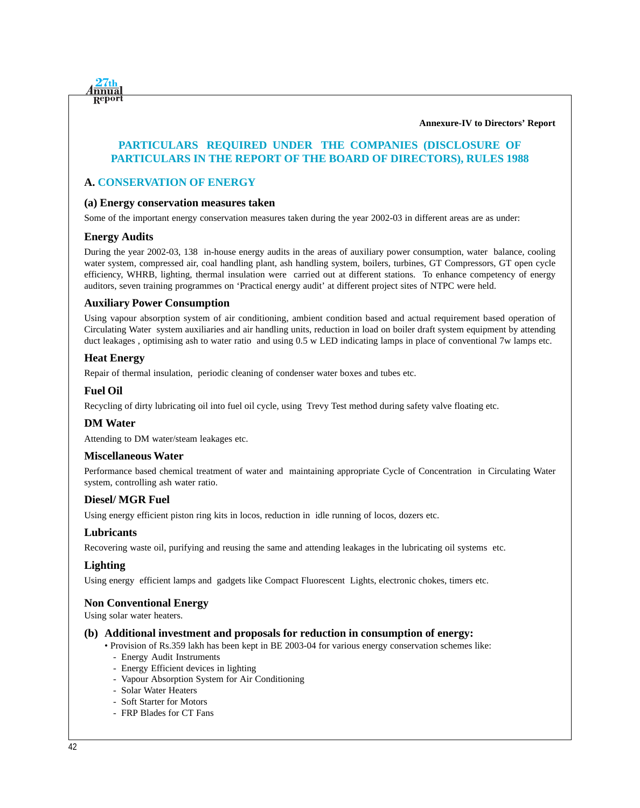**nnua** Repor

**Annexure-IV to Directors' Report**

## **PARTICULARS REQUIRED UNDER THE COMPANIES (DISCLOSURE OF PARTICULARS IN THE REPORT OF THE BOARD OF DIRECTORS), RULES 1988**

## **A. CONSERVATION OF ENERGY**

#### **(a) Energy conservation measures taken**

Some of the important energy conservation measures taken during the year 2002-03 in different areas are as under:

## **Energy Audits**

During the year 2002-03, 138 in-house energy audits in the areas of auxiliary power consumption, water balance, cooling water system, compressed air, coal handling plant, ash handling system, boilers, turbines, GT Compressors, GT open cycle efficiency, WHRB, lighting, thermal insulation were carried out at different stations. To enhance competency of energy auditors, seven training programmes on 'Practical energy audit' at different project sites of NTPC were held.

## **Auxiliary Power Consumption**

Using vapour absorption system of air conditioning, ambient condition based and actual requirement based operation of Circulating Water system auxiliaries and air handling units, reduction in load on boiler draft system equipment by attending duct leakages , optimising ash to water ratio and using 0.5 w LED indicating lamps in place of conventional 7w lamps etc.

## **Heat Energy**

Repair of thermal insulation, periodic cleaning of condenser water boxes and tubes etc.

## **Fuel Oil**

Recycling of dirty lubricating oil into fuel oil cycle, using Trevy Test method during safety valve floating etc.

#### **DM Water**

Attending to DM water/steam leakages etc.

## **Miscellaneous Water**

Performance based chemical treatment of water and maintaining appropriate Cycle of Concentration in Circulating Water system, controlling ash water ratio.

## **Diesel/ MGR Fuel**

Using energy efficient piston ring kits in locos, reduction in idle running of locos, dozers etc.

## **Lubricants**

Recovering waste oil, purifying and reusing the same and attending leakages in the lubricating oil systems etc.

## **Lighting**

Using energy efficient lamps and gadgets like Compact Fluorescent Lights, electronic chokes, timers etc.

## **Non Conventional Energy**

Using solar water heaters.

#### **(b) Additional investment and proposals for reduction in consumption of energy:**

- Provision of Rs.359 lakh has been kept in BE 2003-04 for various energy conservation schemes like:
	- Energy Audit Instruments
	- Energy Efficient devices in lighting
	- Vapour Absorption System for Air Conditioning
	- Solar Water Heaters
	- Soft Starter for Motors
	- FRP Blades for CT Fans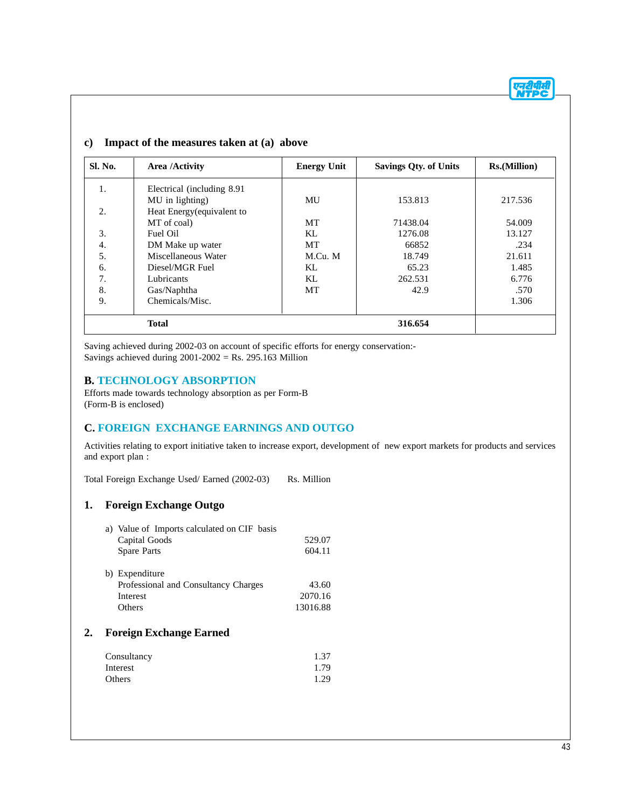## **c) Impact of the measures taken at (a) above**

| <b>Sl. No.</b> | Area /Activity              | <b>Energy Unit</b> | <b>Savings Qty. of Units</b> | <b>Rs.</b> (Million) |
|----------------|-----------------------------|--------------------|------------------------------|----------------------|
| 1.             | Electrical (including 8.91) |                    |                              |                      |
|                | MU in lighting)             | MU                 | 153.813                      | 217.536              |
| 2.             | Heat Energy(equivalent to   |                    |                              |                      |
|                | MT of coal)                 | MT                 | 71438.04                     | 54.009               |
| 3.             | Fuel Oil                    | KL                 | 1276.08                      | 13.127               |
| 4.             | DM Make up water            | <b>MT</b>          | 66852                        | .234                 |
| 5.             | Miscellaneous Water         | M.Cu. M            | 18.749                       | 21.611               |
| 6.             | Diesel/MGR Fuel             | KL                 | 65.23                        | 1.485                |
| 7.             | Lubricants                  | KL                 | 262.531                      | 6.776                |
| 8.             | Gas/Naphtha                 | MT                 | 42.9                         | .570                 |
| 9.             | Chemicals/Misc.             |                    |                              | 1.306                |
|                | <b>Total</b>                |                    | 316.654                      |                      |

Saving achieved during 2002-03 on account of specific efforts for energy conservation:- Savings achieved during  $2001-2002 =$  Rs. 295.163 Million

## **B. TECHNOLOGY ABSORPTION**

Efforts made towards technology absorption as per Form-B (Form-B is enclosed)

## **C. FOREIGN EXCHANGE EARNINGS AND OUTGO**

Activities relating to export initiative taken to increase export, development of new export markets for products and services and export plan :

Total Foreign Exchange Used/ Earned (2002-03) Rs. Million

## **1. Foreign Exchange Outgo**

| a) Value of Imports calculated on CIF basis |          |
|---------------------------------------------|----------|
| Capital Goods                               | 529.07   |
| Spare Parts                                 | 604.11   |
| b) Expenditure                              |          |
| Professional and Consultancy Charges        | 43.60    |
| Interest                                    | 2070.16  |
| <b>Others</b>                               | 13016.88 |
|                                             |          |

## **2. Foreign Exchange Earned**

| Consultancy | 1.37 |
|-------------|------|
| Interest    | 1.79 |
| Others      | 1.29 |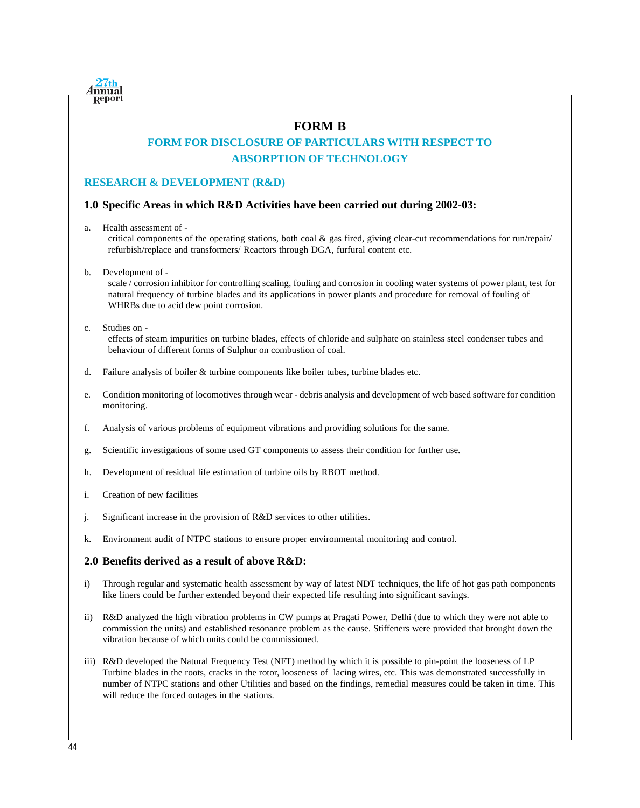

## **FORM B**

# **FORM FOR DISCLOSURE OF PARTICULARS WITH RESPECT TO ABSORPTION OF TECHNOLOGY**

## **RESEARCH & DEVELOPMENT (R&D)**

## **1.0 Specific Areas in which R&D Activities have been carried out during 2002-03:**

a. Health assessment of -

critical components of the operating stations, both coal  $\&$  gas fired, giving clear-cut recommendations for run/repair/ refurbish/replace and transformers/ Reactors through DGA, furfural content etc.

b. Development of -

scale / corrosion inhibitor for controlling scaling, fouling and corrosion in cooling water systems of power plant, test for natural frequency of turbine blades and its applications in power plants and procedure for removal of fouling of WHRBs due to acid dew point corrosion.

c. Studies on -

effects of steam impurities on turbine blades, effects of chloride and sulphate on stainless steel condenser tubes and behaviour of different forms of Sulphur on combustion of coal.

- d. Failure analysis of boiler & turbine components like boiler tubes, turbine blades etc.
- e. Condition monitoring of locomotives through wear debris analysis and development of web based software for condition monitoring.
- f. Analysis of various problems of equipment vibrations and providing solutions for the same.
- g. Scientific investigations of some used GT components to assess their condition for further use.
- h. Development of residual life estimation of turbine oils by RBOT method.
- i. Creation of new facilities
- j. Significant increase in the provision of R&D services to other utilities.
- k. Environment audit of NTPC stations to ensure proper environmental monitoring and control.

## **2.0 Benefits derived as a result of above R&D:**

- i) Through regular and systematic health assessment by way of latest NDT techniques, the life of hot gas path components like liners could be further extended beyond their expected life resulting into significant savings.
- ii) R&D analyzed the high vibration problems in CW pumps at Pragati Power, Delhi (due to which they were not able to commission the units) and established resonance problem as the cause. Stiffeners were provided that brought down the vibration because of which units could be commissioned.
- iii) R&D developed the Natural Frequency Test (NFT) method by which it is possible to pin-point the looseness of LP Turbine blades in the roots, cracks in the rotor, looseness of lacing wires, etc. This was demonstrated successfully in number of NTPC stations and other Utilities and based on the findings, remedial measures could be taken in time. This will reduce the forced outages in the stations.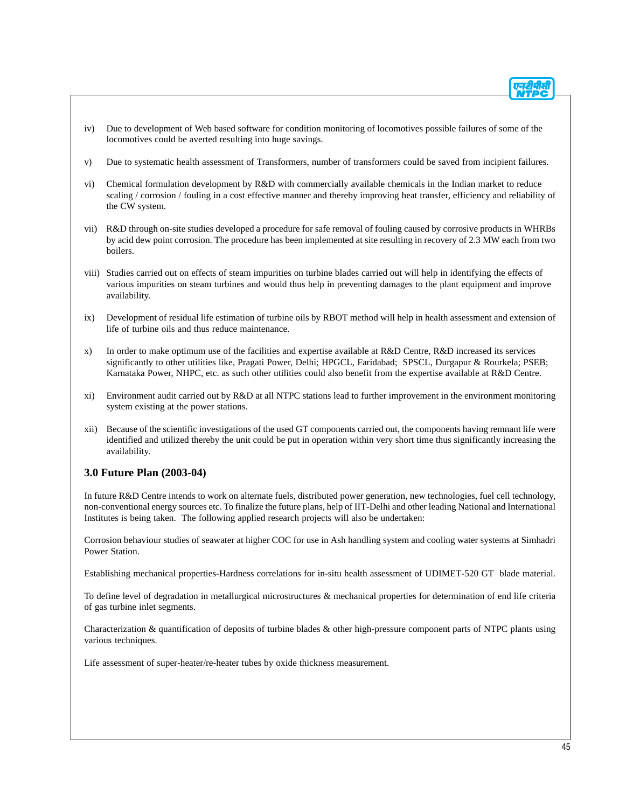- iv) Due to development of Web based software for condition monitoring of locomotives possible failures of some of the locomotives could be averted resulting into huge savings.
- v) Due to systematic health assessment of Transformers, number of transformers could be saved from incipient failures.
- vi) Chemical formulation development by R&D with commercially available chemicals in the Indian market to reduce scaling / corrosion / fouling in a cost effective manner and thereby improving heat transfer, efficiency and reliability of the CW system.
- vii) R&D through on-site studies developed a procedure for safe removal of fouling caused by corrosive products in WHRBs by acid dew point corrosion. The procedure has been implemented at site resulting in recovery of 2.3 MW each from two boilers.
- viii) Studies carried out on effects of steam impurities on turbine blades carried out will help in identifying the effects of various impurities on steam turbines and would thus help in preventing damages to the plant equipment and improve availability.
- ix) Development of residual life estimation of turbine oils by RBOT method will help in health assessment and extension of life of turbine oils and thus reduce maintenance.
- x) In order to make optimum use of the facilities and expertise available at R&D Centre, R&D increased its services significantly to other utilities like, Pragati Power, Delhi; HPGCL, Faridabad; SPSCL, Durgapur & Rourkela; PSEB; Karnataka Power, NHPC, etc. as such other utilities could also benefit from the expertise available at R&D Centre.
- xi) Environment audit carried out by R&D at all NTPC stations lead to further improvement in the environment monitoring system existing at the power stations.
- xii) Because of the scientific investigations of the used GT components carried out, the components having remnant life were identified and utilized thereby the unit could be put in operation within very short time thus significantly increasing the availability.

## **3.0 Future Plan (2003-04)**

In future R&D Centre intends to work on alternate fuels, distributed power generation, new technologies, fuel cell technology, non-conventional energy sources etc. To finalize the future plans, help of IIT-Delhi and other leading National and International Institutes is being taken. The following applied research projects will also be undertaken:

Corrosion behaviour studies of seawater at higher COC for use in Ash handling system and cooling water systems at Simhadri Power Station.

Establishing mechanical properties-Hardness correlations for in-situ health assessment of UDIMET-520 GT blade material.

To define level of degradation in metallurgical microstructures & mechanical properties for determination of end life criteria of gas turbine inlet segments.

Characterization & quantification of deposits of turbine blades & other high-pressure component parts of NTPC plants using various techniques.

Life assessment of super-heater/re-heater tubes by oxide thickness measurement.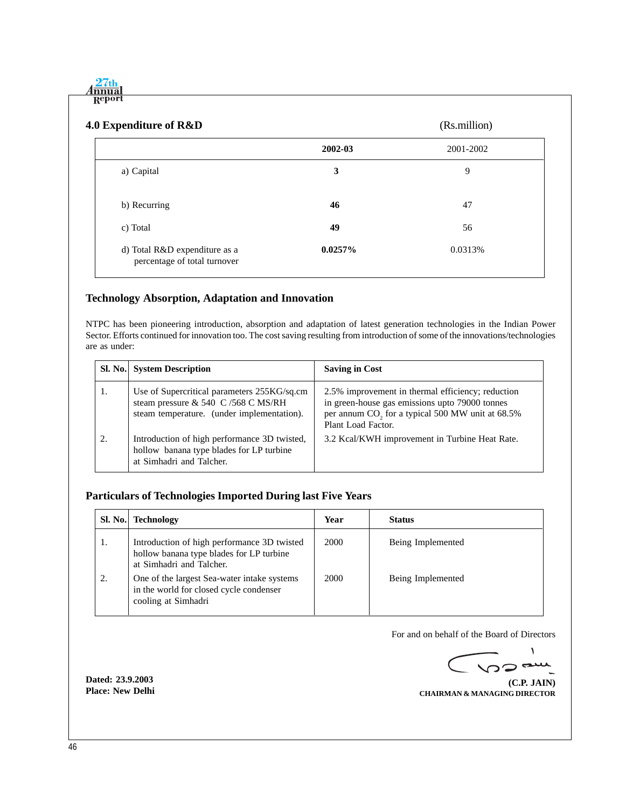$4\frac{27th}{mma}$ Report

| 4.0 Expenditure of R&D                                        |            | (Rs.million) |
|---------------------------------------------------------------|------------|--------------|
|                                                               | 2002-03    | 2001-2002    |
| a) Capital                                                    | 3          | 9            |
| b) Recurring                                                  | 46         | 47           |
| c) Total                                                      | 49         | 56           |
| d) Total R&D expenditure as a<br>percentage of total turnover | $0.0257\%$ | 0.0313%      |

# **Technology Absorption, Adaptation and Innovation**

NTPC has been pioneering introduction, absorption and adaptation of latest generation technologies in the Indian Power Sector. Efforts continued for innovation too. The cost saving resulting from introduction of some of the innovations/technologies are as under:

|    | <b>SI. No.</b> System Description                                                                                                | <b>Saving in Cost</b>                                                                                                                                                                     |
|----|----------------------------------------------------------------------------------------------------------------------------------|-------------------------------------------------------------------------------------------------------------------------------------------------------------------------------------------|
| 1. | Use of Supercritical parameters 255KG/sq.cm<br>steam pressure & 540 C /568 C MS/RH<br>steam temperature. (under implementation). | 2.5% improvement in thermal efficiency; reduction<br>in green-house gas emissions upto 79000 tonnes<br>per annum CO <sub>2</sub> for a typical 500 MW unit at 68.5%<br>Plant Load Factor. |
| 2. | Introduction of high performance 3D twisted,<br>hollow banana type blades for LP turbine<br>at Simhadri and Talcher.             | 3.2 Kcal/KWH improvement in Turbine Heat Rate.                                                                                                                                            |

## **Particulars of Technologies Imported During last Five Years**

| Sl. No. | <b>Technology</b>                                                                                                   | Year | <b>Status</b>     |
|---------|---------------------------------------------------------------------------------------------------------------------|------|-------------------|
| 1.      | Introduction of high performance 3D twisted<br>hollow banana type blades for LP turbine<br>at Simhadri and Talcher. | 2000 | Being Implemented |
| 2.      | One of the largest Sea-water intake systems<br>in the world for closed cycle condenser<br>cooling at Simhadri       | 2000 | Being Implemented |

For and on behalf of the Board of Directors

 $\sqrt{2}$  $\sim$  $\overline{\phantom{a}}$ 

**(C.P. JAIN) CHAIRMAN & MANAGING DIRECTOR**

**Dated: 23.9.2003 Place: New Delhi**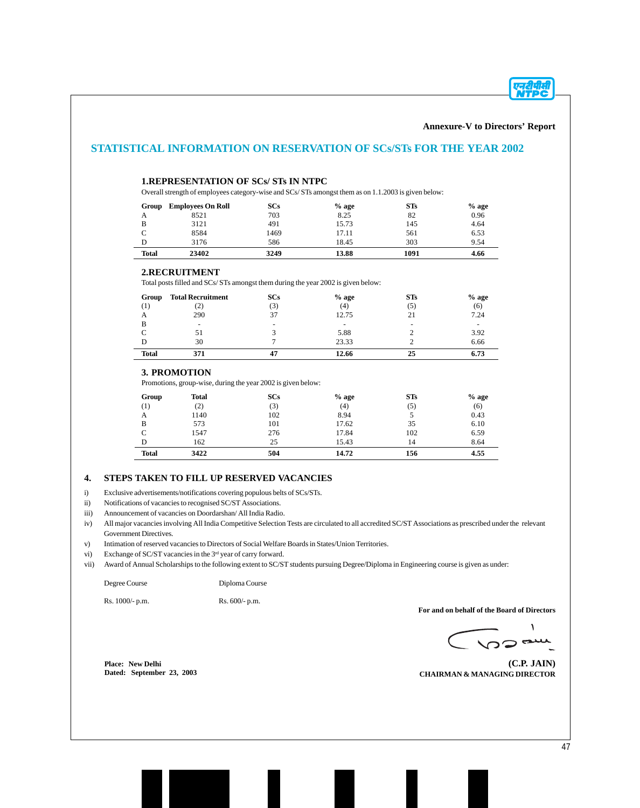एनदीपीसी<br>NTPC

|              | <b>1.REPRESENTATION OF SCs/ STs IN NTPC</b>                                                         |                |         |                |         |
|--------------|-----------------------------------------------------------------------------------------------------|----------------|---------|----------------|---------|
|              | Overall strength of employees category-wise and SCs/STs amongst them as on 1.1.2003 is given below: |                |         |                |         |
|              | <b>Group</b> Employees On Roll                                                                      | <b>SCs</b>     | $%$ age | STs            | $%$ age |
| А            | 8521                                                                                                | 703            | 8.25    | 82             | 0.96    |
| B            | 3121                                                                                                | 491            | 15.73   | 145            | 4.64    |
| $\mathsf{C}$ | 8584                                                                                                | 1469           | 17.11   | 561            | 6.53    |
| D            | 3176                                                                                                | 586            | 18.45   | 303            | 9.54    |
| <b>Total</b> | 23402                                                                                               | 3249           | 13.88   | 1091           | 4.66    |
|              | 2.RECRUITMENT<br>Total posts filled and SCs/STs amongst them during the year 2002 is given below:   |                |         |                |         |
| Group        | <b>Total Recruitment</b>                                                                            | <b>SCs</b>     | $%$ age | <b>STs</b>     | $%$ age |
| (1)          | (2)                                                                                                 | (3)            | (4)     | (5)            | (6)     |
| A            | 290                                                                                                 | 37             | 12.75   | 21             | 7.24    |
| B            | $\overline{\phantom{a}}$                                                                            |                |         |                |         |
| $\mathsf{C}$ | 51                                                                                                  | 3              | 5.88    | $\mathbf{2}$   | 3.92    |
| D            | 30                                                                                                  | $\overline{7}$ | 23.33   | $\overline{c}$ | 6.66    |
| <b>Total</b> | 371                                                                                                 | 47             | 12.66   | 25             | 6.73    |
|              | 3. PROMOTION                                                                                        |                |         |                |         |
|              | Promotions, group-wise, during the year 2002 is given below:                                        |                |         |                |         |
| Group        | <b>Total</b>                                                                                        | <b>SCs</b>     | $%$ age | STs            | $%$ age |
| (1)          | (2)                                                                                                 | (3)            | (4)     | (5)            | (6)     |
| A            | 1140                                                                                                | 102            | 8.94    | 5              | 0.43    |
| B            | 573                                                                                                 | 101            | 17.62   | 35             | 6.10    |
| $\mathsf{C}$ | 1547                                                                                                | 276            | 17.84   | 102            | 6.59    |
| D            | 162                                                                                                 | 25             | 15.43   | 14             | 8.64    |
| <b>Total</b> | 3422                                                                                                | 504            | 14.72   | 156            | 4.55    |

iv) All major vacancies involving All India Competitive Selection Tests are circulated to all accredited SC/ST Associations as prescribed under the relevant Government Directives.

v) Intimation of reserved vacancies to Directors of Social Welfare Boards in States/Union Territories.

vi) Exchange of SC/ST vacancies in the 3<sup>rd</sup> year of carry forward.

vii) Award of Annual Scholarships to the following extent to SC/ST students pursuing Degree/Diploma in Engineering course is given as under:

Degree Course Diploma Course

Rs. 1000/- p.m. Rs. 600/- p.m.

**For and on behalf of the Board of Directors**

 $\boldsymbol{\lambda}$  $C$  vs and

**Place: New Delhi Dated: September 23, 2003**

**(C.P. JAIN) CHAIRMAN & MANAGING DIRECTOR**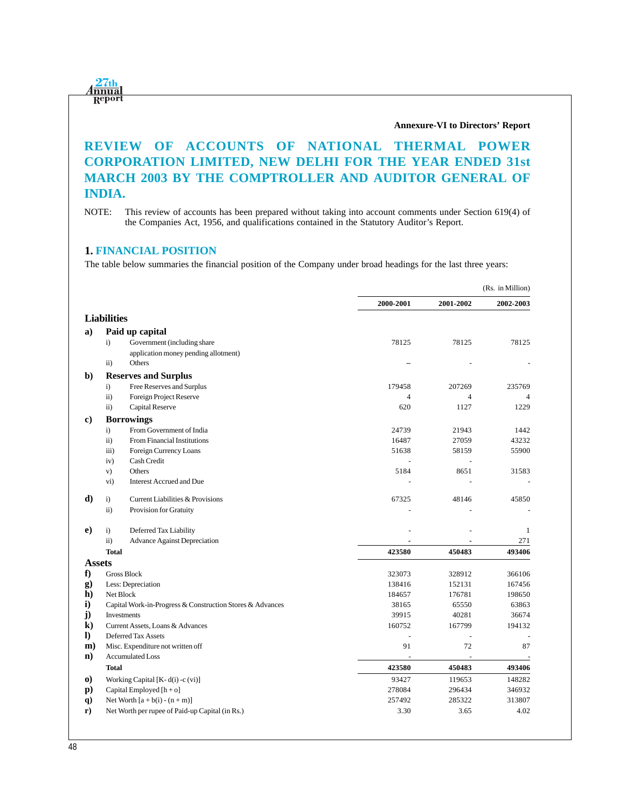<u>1<mark>27</mark>th</u><br>1 mua Report

#### **Annexure-VI to Directors' Report**

# **REVIEW OF ACCOUNTS OF NATIONAL THERMAL POWER CORPORATION LIMITED, NEW DELHI FOR THE YEAR ENDED 31st MARCH 2003 BY THE COMPTROLLER AND AUDITOR GENERAL OF INDIA.**

NOTE: This review of accounts has been prepared without taking into account comments under Section 619(4) of the Companies Act, 1956, and qualifications contained in the Statutory Auditor's Report.

## **1. FINANCIAL POSITION**

The table below summaries the financial position of the Company under broad headings for the last three years:

|                |                     |                                                           |                |                | (Rs. in Million) |
|----------------|---------------------|-----------------------------------------------------------|----------------|----------------|------------------|
|                |                     |                                                           | 2000-2001      | 2001-2002      | 2002-2003        |
|                | <b>Liabilities</b>  |                                                           |                |                |                  |
| a)             |                     | Paid up capital                                           |                |                |                  |
|                | $\ddot{i}$          | Government (including share                               | 78125          | 78125          | 78125            |
|                |                     | application money pending allotment)                      |                |                |                  |
|                | $\mathbf{ii}$       | Others                                                    |                |                |                  |
| $\mathbf{b}$   |                     | <b>Reserves and Surplus</b>                               |                |                |                  |
|                | $\mathbf{i}$        | Free Reserves and Surplus                                 | 179458         | 207269         | 235769           |
|                | $\ddot{\text{ii}})$ | Foreign Project Reserve                                   | $\overline{4}$ | $\overline{4}$ | $\overline{4}$   |
|                | $\mathbf{ii}$       | Capital Reserve                                           | 620            | 1127           | 1229             |
| c)             |                     | <b>Borrowings</b>                                         |                |                |                  |
|                | $\ddot{i}$          | From Government of India                                  | 24739          | 21943          | 1442             |
|                | $\ddot{\text{ii}})$ | From Financial Institutions                               | 16487          | 27059          | 43232            |
|                | iii)                | Foreign Currency Loans                                    | 51638          | 58159          | 55900            |
|                | iv)                 | Cash Credit                                               |                |                |                  |
|                | v)                  | Others                                                    | 5184           | 8651           | 31583            |
|                | vi)                 | <b>Interest Accrued and Due</b>                           |                |                |                  |
| d)             | i)                  | Current Liabilities & Provisions                          | 67325          | 48146          | 45850            |
|                | $\mathbf{ii}$       | Provision for Gratuity                                    |                |                |                  |
| $\bf e)$       | $\mathbf{i}$        | Deferred Tax Liability                                    |                |                | $\mathbf{1}$     |
|                | $\mathbf{ii}$ )     | <b>Advance Against Depreciation</b>                       |                |                | 271              |
|                | <b>Total</b>        |                                                           | 423580         | 450483         | 493406           |
| <b>Assets</b>  |                     |                                                           |                |                |                  |
| ${\bf f}$      |                     | <b>Gross Block</b>                                        | 323073         | 328912         | 366106           |
| g)             |                     | Less: Depreciation                                        | 138416         | 152131         | 167456           |
| $\mathbf{h}$   | Net Block           |                                                           | 184657         | 176781         | 198650           |
| $\mathbf{i}$   |                     | Capital Work-in-Progress & Construction Stores & Advances | 38165          | 65550          | 63863            |
| j)             |                     | <b>Investments</b>                                        | 39915          | 40281          | 36674            |
| $\bf k)$       |                     | Current Assets, Loans & Advances                          | 160752         | 167799         | 194132           |
| $\bf{I}$       |                     | <b>Deferred Tax Assets</b>                                |                |                |                  |
| $\mathbf{m}$   |                     | Misc. Expenditure not written off                         | 91             | 72             | 87               |
| $\mathbf{n}$   |                     | <b>Accumulated Loss</b>                                   |                |                |                  |
|                | <b>Total</b>        |                                                           | 423580         | 450483         | 493406           |
| $\bf{0}$       |                     | Working Capital [K-d(i) -c (vi)]                          | 93427          | 119653         | 148282           |
| $\mathbf{p}$ ) |                     | Capital Employed [h + o]                                  | 278084         | 296434         | 346932           |
|                |                     |                                                           |                |                |                  |
| $\mathbf{q}$   |                     | Net Worth $[a + b(i) - (n + m)]$                          | 257492         | 285322         | 313807           |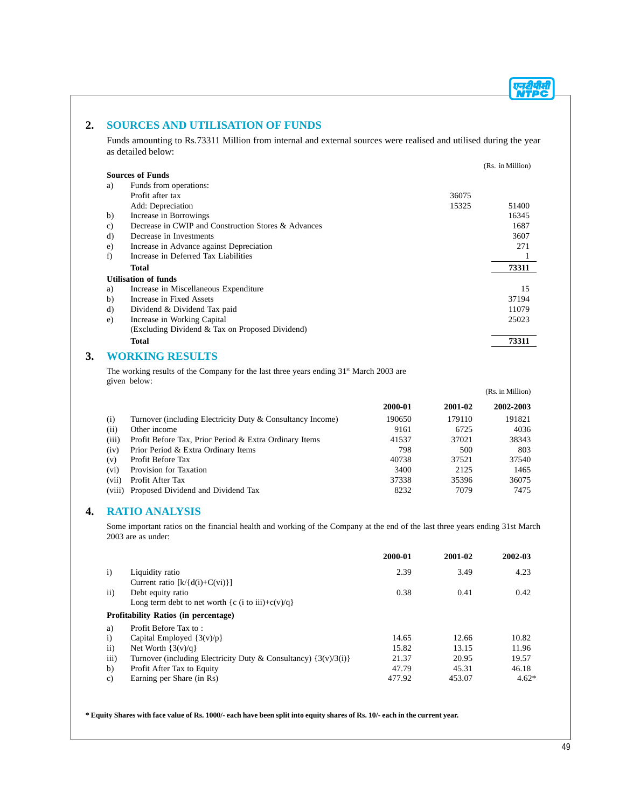## **2. SOURCES AND UTILISATION OF FUNDS**

Funds amounting to Rs.73311 Million from internal and external sources were realised and utilised during the year as detailed below:

|    |                                                     |       | (Rs. in Million) |
|----|-----------------------------------------------------|-------|------------------|
|    | <b>Sources of Funds</b>                             |       |                  |
| a) | Funds from operations:                              |       |                  |
|    | Profit after tax                                    | 36075 |                  |
|    | Add: Depreciation                                   | 15325 | 51400            |
| b) | Increase in Borrowings                              |       | 16345            |
| c) | Decrease in CWIP and Construction Stores & Advances |       | 1687             |
| d) | Decrease in Investments                             |       | 3607             |
| e) | Increase in Advance against Depreciation            |       | 271              |
| f) | Increase in Deferred Tax Liabilities                |       |                  |
|    | Total                                               |       | 73311            |
|    | <b>Utilisation of funds</b>                         |       |                  |
| a) | Increase in Miscellaneous Expenditure               |       | 15               |
| b) | Increase in Fixed Assets                            |       | 37194            |
| d) | Dividend & Dividend Tax paid                        |       | 11079            |
| e) | Increase in Working Capital                         |       | 25023            |
|    | (Excluding Dividend & Tax on Proposed Dividend)     |       |                  |
|    | <b>Total</b>                                        |       | 73311            |
|    |                                                     |       |                  |

## **3. WORKING RESULTS**

The working results of the Company for the last three years ending 31<sup>st</sup> March 2003 are given below:

|         |                                                            |         |         | (Rs. in Million) |
|---------|------------------------------------------------------------|---------|---------|------------------|
|         |                                                            | 2000-01 | 2001-02 | 2002-2003        |
| (i)     | Turnover (including Electricity Duty & Consultancy Income) | 190650  | 179110  | 191821           |
| (ii)    | Other income                                               | 9161    | 6725    | 4036             |
| (iii)   | Profit Before Tax, Prior Period & Extra Ordinary Items     | 41537   | 37021   | 38343            |
| (iv)    | Prior Period & Extra Ordinary Items                        | 798     | 500     | 803              |
| (v)     | Profit Before Tax                                          | 40738   | 37521   | 37540            |
| $(v_i)$ | Provision for Taxation                                     | 3400    | 2125    | 1465             |
| (vii)   | Profit After Tax                                           | 37338   | 35396   | 36075            |
| (viii)  | Proposed Dividend and Dividend Tax                         | 8232    | 7079    | 7475             |

## **4. RATIO ANALYSIS**

Some important ratios on the financial health and working of the Company at the end of the last three years ending 31st March 2003 are as under:

|               |                                                                     | 2000-01 | 2001-02 | 2002-03 |
|---------------|---------------------------------------------------------------------|---------|---------|---------|
| $\mathbf{i}$  | Liquidity ratio                                                     | 2.39    | 3.49    | 4.23    |
|               | Current ratio $[k/(d(i)+C(vi))]$                                    |         |         |         |
| $\mathbf{ii}$ | Debt equity ratio                                                   | 0.38    | 0.41    | 0.42    |
|               | Long term debt to net worth {c (i to iii)+c(v)/q}                   |         |         |         |
|               | <b>Profitability Ratios (in percentage)</b>                         |         |         |         |
| a)            | Profit Before Tax to:                                               |         |         |         |
| $\mathbf{i}$  | Capital Employed $\{3(v)/p\}$                                       | 14.65   | 12.66   | 10.82   |
| $\mathbf{ii}$ | Net Worth $\{3(v)/q\}$                                              | 15.82   | 13.15   | 11.96   |
| iii)          | Turnover (including Electricity Duty & Consultancy) $\{3(v)/3(i)\}$ | 21.37   | 20.95   | 19.57   |
| b)            | Profit After Tax to Equity                                          | 47.79   | 45.31   | 46.18   |
| $\mathbf{c}$  | Earning per Share (in Rs)                                           | 477.92  | 453.07  | $4.62*$ |

**\* Equity Shares with face value of Rs. 1000/- each have been split into equity shares of Rs. 10/- each in the current year.**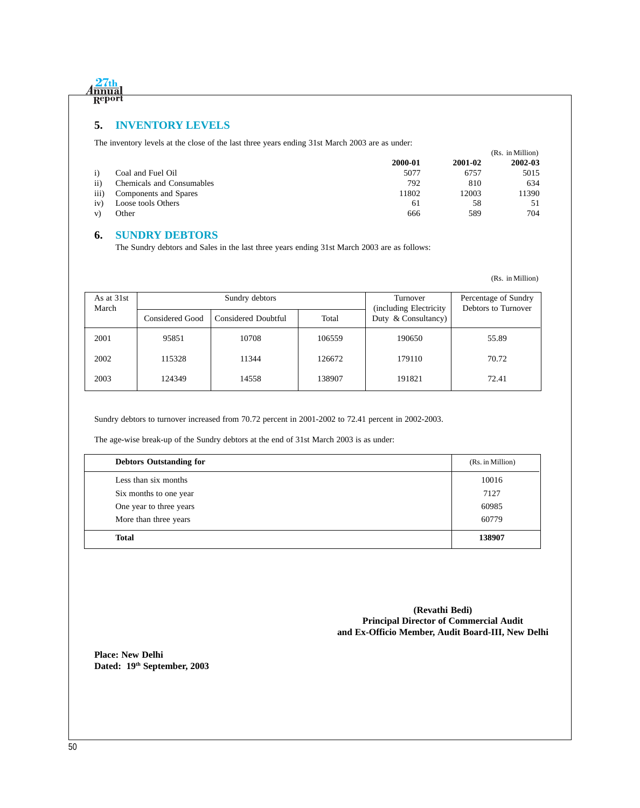

## **5. INVENTORY LEVELS**

The inventory levels at the close of the last three years ending 31st March 2003 are as under:

|                  |                           |         |         | (Rs. in Million) |
|------------------|---------------------------|---------|---------|------------------|
|                  |                           | 2000-01 | 2001-02 | 2002-03          |
| $\mathbf{i}$     | Coal and Fuel Oil         | 5077    | 6757    | 5015             |
| $\rm ii)$        | Chemicals and Consumables | 792     | 810     | 634              |
| $\overline{111}$ | Components and Spares     | 11802   | 12003   | 11390            |
| iv)              | Loose tools Others        | 61      | 58      | 51               |
| V)               | Other                     | 666     | 589     | 704              |

## **6. SUNDRY DEBTORS**

The Sundry debtors and Sales in the last three years ending 31st March 2003 are as follows:

(Rs. in Million)

| As at 31st<br>March |                 | Sundry debtors      | Turnover<br>(including Electricity) | Percentage of Sundry<br>Debtors to Turnover |       |  |
|---------------------|-----------------|---------------------|-------------------------------------|---------------------------------------------|-------|--|
|                     | Considered Good | Considered Doubtful | Total                               | Duty $\&$ Consultancy)                      |       |  |
| 2001                | 95851           | 10708               | 106559                              | 190650                                      | 55.89 |  |
| 2002                | 115328          | 11344               | 126672                              | 179110                                      | 70.72 |  |
| 2003                | 124349          | 14558               | 138907                              | 191821                                      | 72.41 |  |

Sundry debtors to turnover increased from 70.72 percent in 2001-2002 to 72.41 percent in 2002-2003.

The age-wise break-up of the Sundry debtors at the end of 31st March 2003 is as under:

| <b>Debtors Outstanding for</b> | (Rs. in Million) |
|--------------------------------|------------------|
| Less than six months           | 10016            |
| Six months to one year         | 7127             |
| One year to three years        | 60985            |
| More than three years          | 60779            |
| <b>Total</b>                   | 138907           |

**(Revathi Bedi) Principal Director of Commercial Audit and Ex-Officio Member, Audit Board-III, New Delhi**

**Place: New Delhi Dated: 19th September, 2003**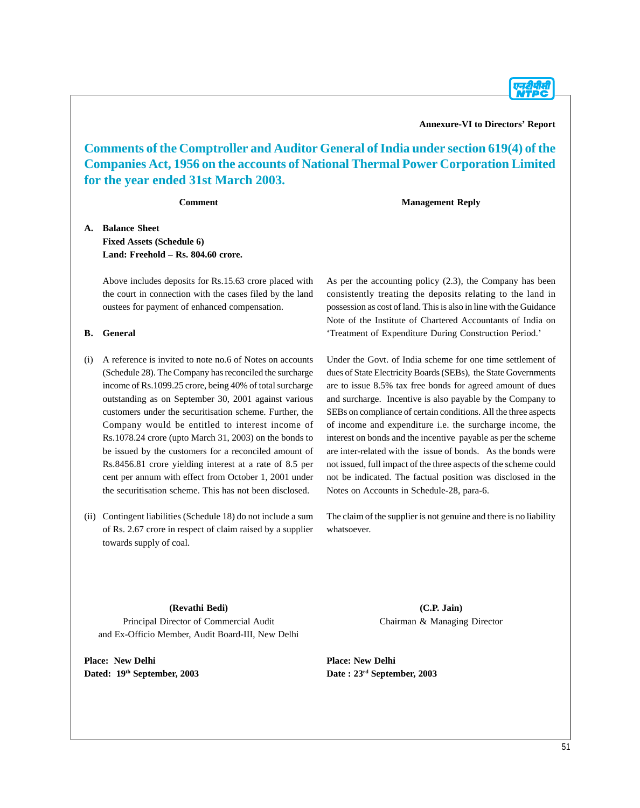**Annexure-VI to Directors' Report**

**Comments of the Comptroller and Auditor General of India under section 619(4) of the Companies Act, 1956 on the accounts of National Thermal Power Corporation Limited for the year ended 31st March 2003.**

**Comment**

**Management Reply**

**A. Balance Sheet Fixed Assets (Schedule 6) Land: Freehold – Rs. 804.60 crore.**

> Above includes deposits for Rs.15.63 crore placed with the court in connection with the cases filed by the land oustees for payment of enhanced compensation.

#### **B. General**

- (i) A reference is invited to note no.6 of Notes on accounts (Schedule 28). The Company has reconciled the surcharge income of Rs.1099.25 crore, being 40% of total surcharge outstanding as on September 30, 2001 against various customers under the securitisation scheme. Further, the Company would be entitled to interest income of Rs.1078.24 crore (upto March 31, 2003) on the bonds to be issued by the customers for a reconciled amount of Rs.8456.81 crore yielding interest at a rate of 8.5 per cent per annum with effect from October 1, 2001 under the securitisation scheme. This has not been disclosed.
- (ii) Contingent liabilities (Schedule 18) do not include a sum of Rs. 2.67 crore in respect of claim raised by a supplier towards supply of coal.

As per the accounting policy (2.3), the Company has been consistently treating the deposits relating to the land in possession as cost of land. This is also in line with the Guidance Note of the Institute of Chartered Accountants of India on 'Treatment of Expenditure During Construction Period.'

Under the Govt. of India scheme for one time settlement of dues of State Electricity Boards (SEBs), the State Governments are to issue 8.5% tax free bonds for agreed amount of dues and surcharge. Incentive is also payable by the Company to SEBs on compliance of certain conditions. All the three aspects of income and expenditure i.e. the surcharge income, the interest on bonds and the incentive payable as per the scheme are inter-related with the issue of bonds. As the bonds were not issued, full impact of the three aspects of the scheme could not be indicated. The factual position was disclosed in the Notes on Accounts in Schedule-28, para-6.

The claim of the supplier is not genuine and there is no liability whatsoever.

#### **(Revathi Bedi)**

Principal Director of Commercial Audit and Ex-Officio Member, Audit Board-III, New Delhi

**Place: New Delhi Dated: 19th September, 2003**

**(C.P. Jain)** Chairman & Managing Director

**Place: New Delhi Date : 23rd September, 2003**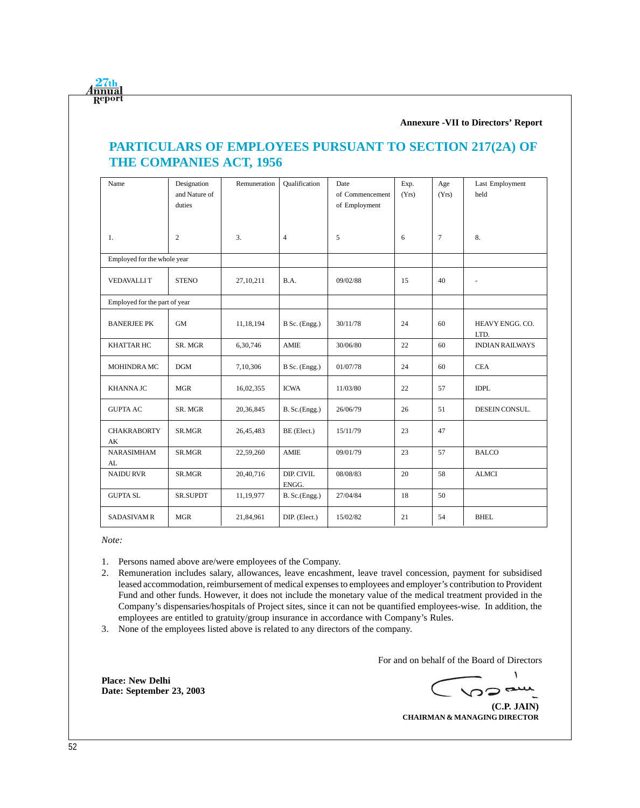**Annexure -VII to Directors' Report**

# **PARTICULARS OF EMPLOYEES PURSUANT TO SECTION 217(2A) OF THE COMPANIES ACT, 1956**

| Name                          | Designation<br>and Nature of<br>duties | Remuneration | Oualification       | Date<br>of Commencement<br>of Employment | Exp.<br>(Yrs) | Age<br>(Yrs) | Last Employment<br>held |
|-------------------------------|----------------------------------------|--------------|---------------------|------------------------------------------|---------------|--------------|-------------------------|
| 1.                            | 2                                      | 3.           | $\overline{4}$      | 5                                        | 6             | $\tau$       | 8.                      |
| Employed for the whole year   |                                        |              |                     |                                          |               |              |                         |
| <b>VEDAVALLIT</b>             | <b>STENO</b>                           | 27, 10, 211  | B.A.                | 09/02/88                                 | 15            | 40           |                         |
| Employed for the part of year |                                        |              |                     |                                          |               |              |                         |
| <b>BANERJEE PK</b>            | GM                                     | 11,18,194    | B Sc. (Engg.)       | 30/11/78                                 | 24            | 60           | HEAVY ENGG. CO.<br>LTD. |
| <b>KHATTAR HC</b>             | SR. MGR                                | 6,30,746     | AMIE                | 30/06/80                                 | 22            | 60           | <b>INDIAN RAILWAYS</b>  |
| MOHINDRA MC                   | DGM                                    | 7,10,306     | B Sc. (Engg.)       | 01/07/78                                 | 24            | 60           | <b>CEA</b>              |
| <b>KHANNA JC</b>              | <b>MGR</b>                             | 16,02,355    | <b>ICWA</b>         | 11/03/80                                 | 22            | 57           | <b>IDPL</b>             |
| <b>GUPTA AC</b>               | SR. MGR                                | 20,36,845    | B. Sc.(Engg.)       | 26/06/79                                 | 26            | 51           | DESEIN CONSUL.          |
| <b>CHAKRABORTY</b><br>AK      | SR.MGR                                 | 26,45,483    | BE (Elect.)         | 15/11/79                                 | 23            | 47           |                         |
| <b>NARASIMHAM</b><br>AL       | SR.MGR                                 | 22,59,260    | <b>AMIE</b>         | 09/01/79                                 | 23            | 57           | <b>BALCO</b>            |
| <b>NAIDU RVR</b>              | SR.MGR                                 | 20,40,716    | DIP. CIVIL<br>ENGG. | 08/08/83                                 | 20            | 58           | <b>ALMCI</b>            |
| <b>GUPTA SL</b>               | <b>SR.SUPDT</b>                        | 11,19,977    | $B.$ Sc. $(Engg.)$  | 27/04/84                                 | 18            | 50           |                         |
| <b>SADASIVAM R</b>            | <b>MGR</b>                             | 21,84,961    | DIP. (Elect.)       | 15/02/82                                 | 21            | 54           | <b>BHEL</b>             |

*Note:*

 $27th$ <u>Innua</u> Repor

- 1. Persons named above are/were employees of the Company.
- 2. Remuneration includes salary, allowances, leave encashment, leave travel concession, payment for subsidised leased accommodation, reimbursement of medical expenses to employees and employer's contribution to Provident Fund and other funds. However, it does not include the monetary value of the medical treatment provided in the Company's dispensaries/hospitals of Project sites, since it can not be quantified employees-wise. In addition, the employees are entitled to gratuity/group insurance in accordance with Company's Rules.
- 3. None of the employees listed above is related to any directors of the company.

For and on behalf of the Board of Directors

 $\mathcal{L}$ **VOD am** 

**(C.P. JAIN) CHAIRMAN & MANAGING DIRECTOR**

**Place: New Delhi Date: September 23, 2003**